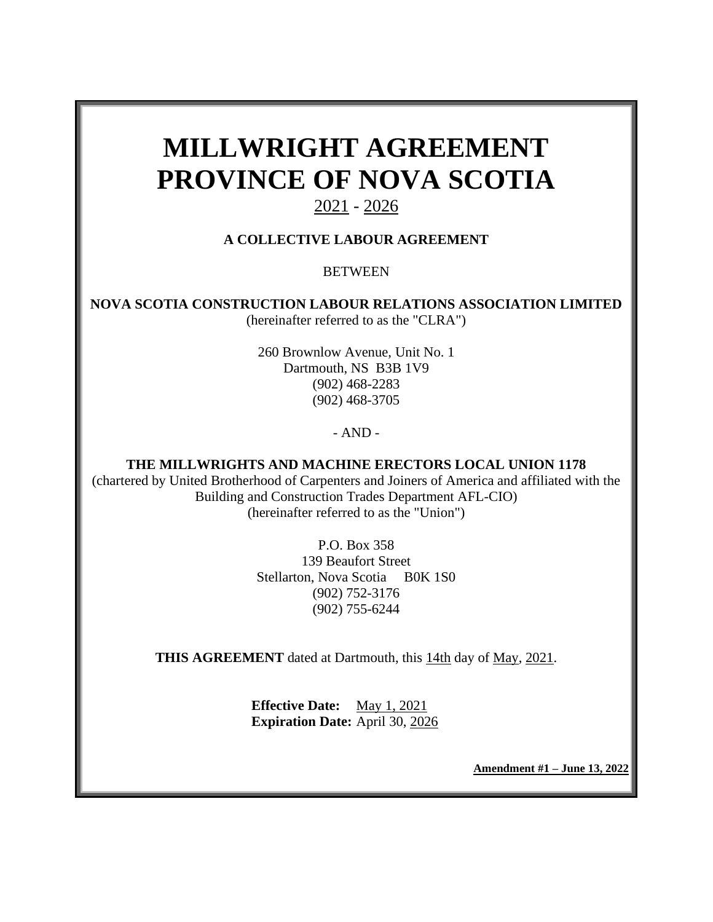# **MILLWRIGHT AGREEMENT PROVINCE OF NOVA SCOTIA**

# 2021 - 2026

# **A COLLECTIVE LABOUR AGREEMENT**

**BETWEEN** 

**NOVA SCOTIA CONSTRUCTION LABOUR RELATIONS ASSOCIATION LIMITED** (hereinafter referred to as the "CLRA")

> 260 Brownlow Avenue, Unit No. 1 Dartmouth, NS B3B 1V9 (902) 468-2283 (902) 468-3705

> > - AND -

**THE MILLWRIGHTS AND MACHINE ERECTORS LOCAL UNION 1178** (chartered by United Brotherhood of Carpenters and Joiners of America and affiliated with the Building and Construction Trades Department AFL-CIO) (hereinafter referred to as the "Union")

> P.O. Box 358 139 Beaufort Street Stellarton, Nova Scotia B0K 1S0 (902) 752-3176 (902) 755-6244

**THIS AGREEMENT** dated at Dartmouth, this 14th day of May, 2021.

**Effective Date:** May 1, 2021 **Expiration Date:** April 30, 2026

**Amendment #1 – June 13, 2022**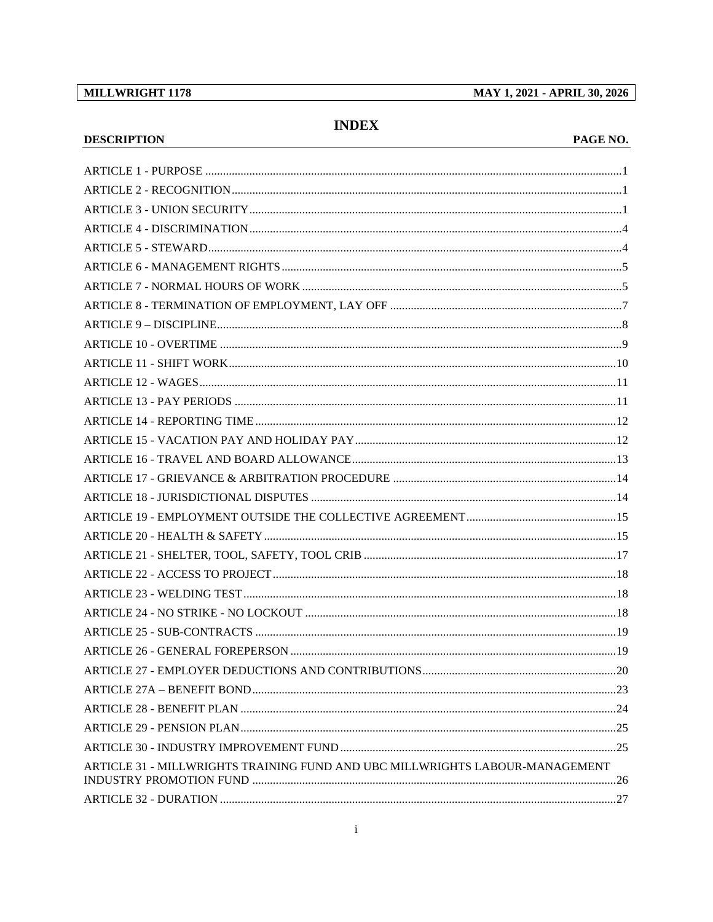**DESCRIPTION** 

# **INDEX**

#### PAGE NO.

| ARTICLE 31 - MILLWRIGHTS TRAINING FUND AND UBC MILLWRIGHTS LABOUR-MANAGEMENT |  |
|------------------------------------------------------------------------------|--|
|                                                                              |  |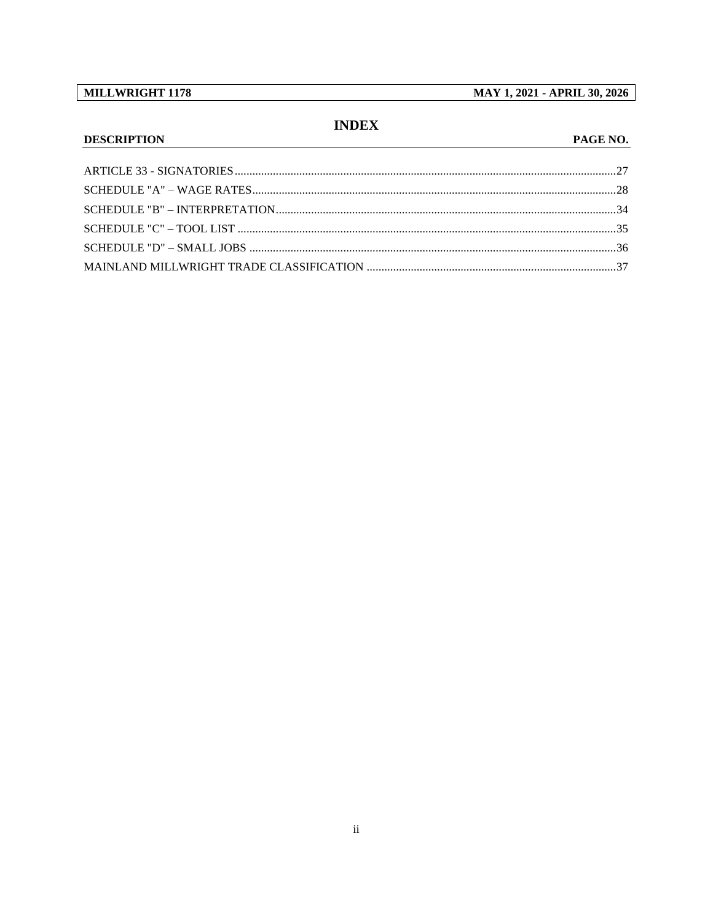MILLWRIGHT 1178

**DESCRIPTION** 

MAY 1, 2021 - APRIL 30, 2026

# **INDEX**

#### PAGE NO.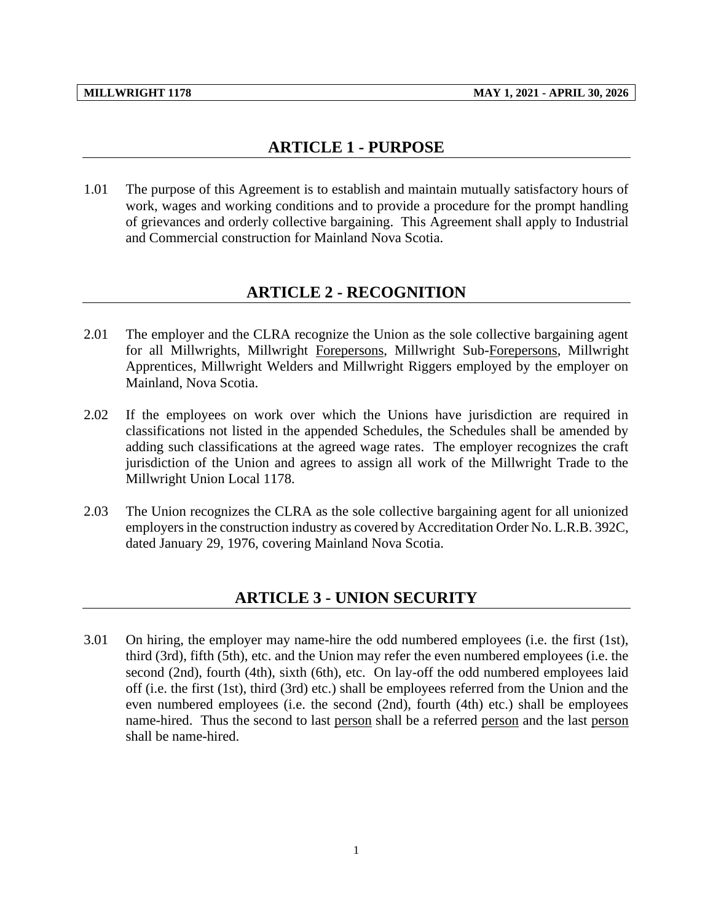# **ARTICLE 1 - PURPOSE**

<span id="page-3-0"></span>1.01 The purpose of this Agreement is to establish and maintain mutually satisfactory hours of work, wages and working conditions and to provide a procedure for the prompt handling of grievances and orderly collective bargaining. This Agreement shall apply to Industrial and Commercial construction for Mainland Nova Scotia.

# **ARTICLE 2 - RECOGNITION**

- <span id="page-3-1"></span>2.01 The employer and the CLRA recognize the Union as the sole collective bargaining agent for all Millwrights, Millwright Forepersons, Millwright Sub-Forepersons, Millwright Apprentices, Millwright Welders and Millwright Riggers employed by the employer on Mainland, Nova Scotia.
- 2.02 If the employees on work over which the Unions have jurisdiction are required in classifications not listed in the appended Schedules, the Schedules shall be amended by adding such classifications at the agreed wage rates. The employer recognizes the craft jurisdiction of the Union and agrees to assign all work of the Millwright Trade to the Millwright Union Local 1178.
- <span id="page-3-2"></span>2.03 The Union recognizes the CLRA as the sole collective bargaining agent for all unionized employers in the construction industry as covered by Accreditation Order No. L.R.B. 392C, dated January 29, 1976, covering Mainland Nova Scotia.

# **ARTICLE 3 - UNION SECURITY**

3.01 On hiring, the employer may name-hire the odd numbered employees (i.e. the first (1st), third (3rd), fifth (5th), etc. and the Union may refer the even numbered employees (i.e. the second (2nd), fourth (4th), sixth (6th), etc. On lay-off the odd numbered employees laid off (i.e. the first (1st), third (3rd) etc.) shall be employees referred from the Union and the even numbered employees (i.e. the second (2nd), fourth (4th) etc.) shall be employees name-hired. Thus the second to last person shall be a referred person and the last person shall be name-hired.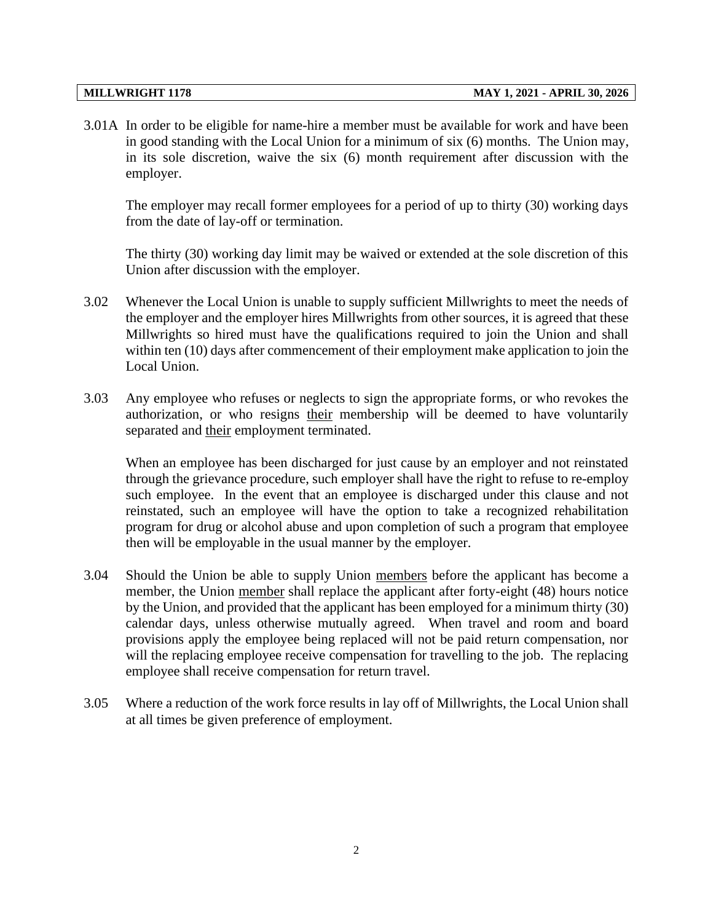3.01A In order to be eligible for name-hire a member must be available for work and have been in good standing with the Local Union for a minimum of six (6) months. The Union may, in its sole discretion, waive the six (6) month requirement after discussion with the employer.

The employer may recall former employees for a period of up to thirty (30) working days from the date of lay-off or termination.

The thirty (30) working day limit may be waived or extended at the sole discretion of this Union after discussion with the employer.

- 3.02 Whenever the Local Union is unable to supply sufficient Millwrights to meet the needs of the employer and the employer hires Millwrights from other sources, it is agreed that these Millwrights so hired must have the qualifications required to join the Union and shall within ten (10) days after commencement of their employment make application to join the Local Union.
- 3.03 Any employee who refuses or neglects to sign the appropriate forms, or who revokes the authorization, or who resigns their membership will be deemed to have voluntarily separated and their employment terminated.

When an employee has been discharged for just cause by an employer and not reinstated through the grievance procedure, such employer shall have the right to refuse to re-employ such employee. In the event that an employee is discharged under this clause and not reinstated, such an employee will have the option to take a recognized rehabilitation program for drug or alcohol abuse and upon completion of such a program that employee then will be employable in the usual manner by the employer.

- 3.04 Should the Union be able to supply Union members before the applicant has become a member, the Union member shall replace the applicant after forty-eight (48) hours notice by the Union, and provided that the applicant has been employed for a minimum thirty (30) calendar days, unless otherwise mutually agreed. When travel and room and board provisions apply the employee being replaced will not be paid return compensation, nor will the replacing employee receive compensation for travelling to the job. The replacing employee shall receive compensation for return travel.
- 3.05 Where a reduction of the work force results in lay off of Millwrights, the Local Union shall at all times be given preference of employment.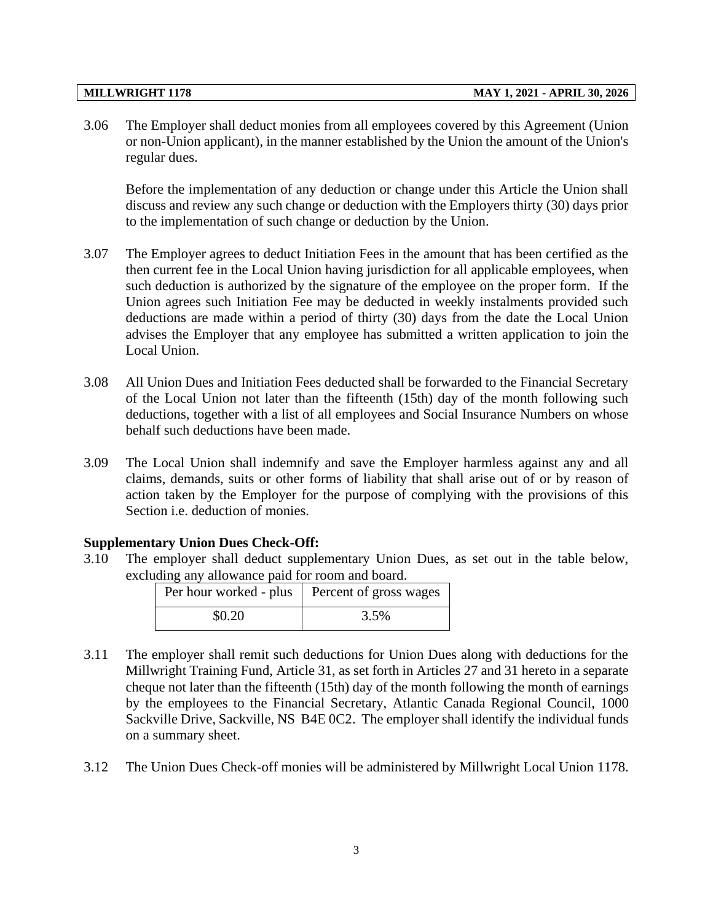3.06 The Employer shall deduct monies from all employees covered by this Agreement (Union or non-Union applicant), in the manner established by the Union the amount of the Union's regular dues.

Before the implementation of any deduction or change under this Article the Union shall discuss and review any such change or deduction with the Employers thirty (30) days prior to the implementation of such change or deduction by the Union.

- 3.07 The Employer agrees to deduct Initiation Fees in the amount that has been certified as the then current fee in the Local Union having jurisdiction for all applicable employees, when such deduction is authorized by the signature of the employee on the proper form. If the Union agrees such Initiation Fee may be deducted in weekly instalments provided such deductions are made within a period of thirty (30) days from the date the Local Union advises the Employer that any employee has submitted a written application to join the Local Union.
- 3.08 All Union Dues and Initiation Fees deducted shall be forwarded to the Financial Secretary of the Local Union not later than the fifteenth (15th) day of the month following such deductions, together with a list of all employees and Social Insurance Numbers on whose behalf such deductions have been made.
- 3.09 The Local Union shall indemnify and save the Employer harmless against any and all claims, demands, suits or other forms of liability that shall arise out of or by reason of action taken by the Employer for the purpose of complying with the provisions of this Section *i.e.* deduction of monies.

### **Supplementary Union Dues Check-Off:**

3.10 The employer shall deduct supplementary Union Dues, as set out in the table below, excluding any allowance paid for room and board.

|        | Per hour worked - plus   Percent of gross wages |
|--------|-------------------------------------------------|
| \$0.20 | 3.5%                                            |

- 3.11 The employer shall remit such deductions for Union Dues along with deductions for the Millwright Training Fund, Article 31, as set forth in Articles 27 and 31 hereto in a separate cheque not later than the fifteenth (15th) day of the month following the month of earnings by the employees to the Financial Secretary, Atlantic Canada Regional Council, 1000 Sackville Drive, Sackville, NS B4E 0C2. The employer shall identify the individual funds on a summary sheet.
- 3.12 The Union Dues Check-off monies will be administered by Millwright Local Union 1178.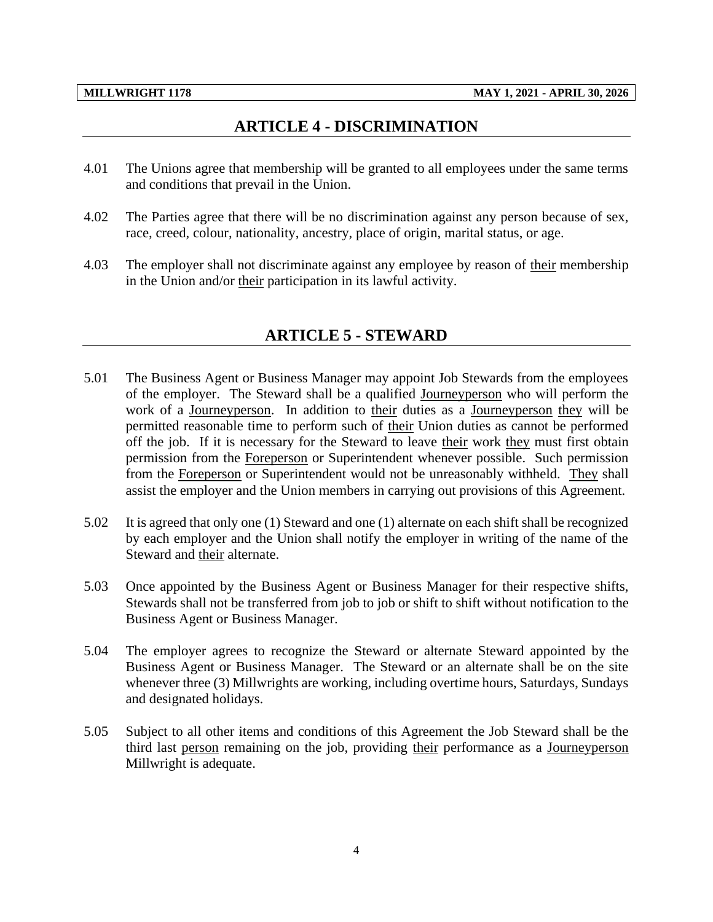# **ARTICLE 4 - DISCRIMINATION**

- <span id="page-6-0"></span>4.01 The Unions agree that membership will be granted to all employees under the same terms and conditions that prevail in the Union.
- 4.02 The Parties agree that there will be no discrimination against any person because of sex, race, creed, colour, nationality, ancestry, place of origin, marital status, or age.
- <span id="page-6-1"></span>4.03 The employer shall not discriminate against any employee by reason of their membership in the Union and/or their participation in its lawful activity.

# **ARTICLE 5 - STEWARD**

- 5.01 The Business Agent or Business Manager may appoint Job Stewards from the employees of the employer. The Steward shall be a qualified Journeyperson who will perform the work of a Journeyperson. In addition to their duties as a Journeyperson they will be permitted reasonable time to perform such of their Union duties as cannot be performed off the job. If it is necessary for the Steward to leave their work they must first obtain permission from the Foreperson or Superintendent whenever possible. Such permission from the Foreperson or Superintendent would not be unreasonably withheld. They shall assist the employer and the Union members in carrying out provisions of this Agreement.
- 5.02 It is agreed that only one (1) Steward and one (1) alternate on each shift shall be recognized by each employer and the Union shall notify the employer in writing of the name of the Steward and their alternate.
- 5.03 Once appointed by the Business Agent or Business Manager for their respective shifts, Stewards shall not be transferred from job to job or shift to shift without notification to the Business Agent or Business Manager.
- 5.04 The employer agrees to recognize the Steward or alternate Steward appointed by the Business Agent or Business Manager. The Steward or an alternate shall be on the site whenever three (3) Millwrights are working, including overtime hours, Saturdays, Sundays and designated holidays.
- 5.05 Subject to all other items and conditions of this Agreement the Job Steward shall be the third last person remaining on the job, providing their performance as a Journeyperson Millwright is adequate.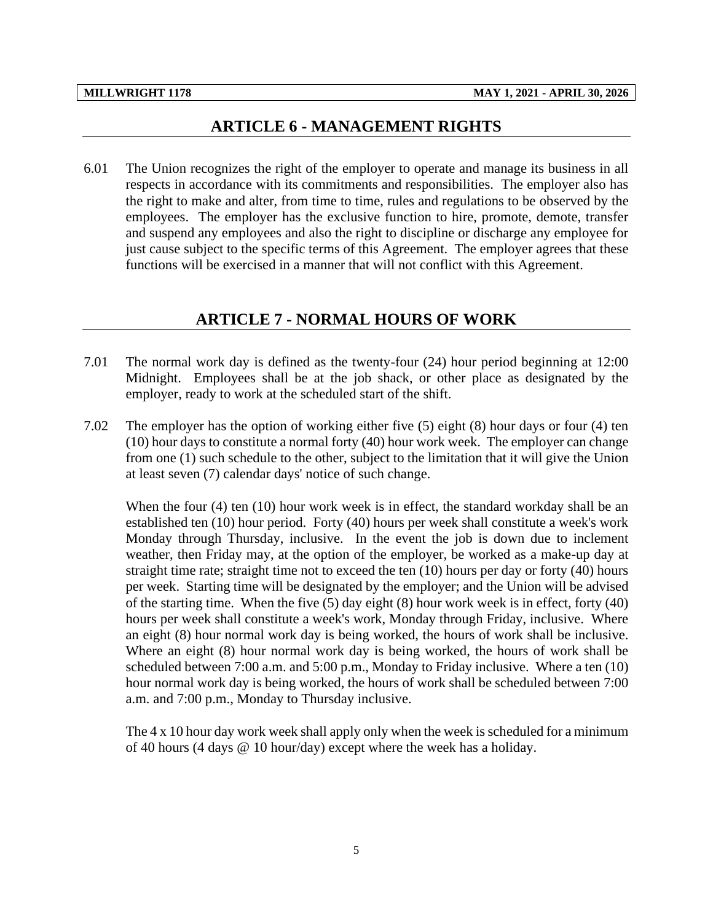### **ARTICLE 6 - MANAGEMENT RIGHTS**

<span id="page-7-0"></span>6.01 The Union recognizes the right of the employer to operate and manage its business in all respects in accordance with its commitments and responsibilities. The employer also has the right to make and alter, from time to time, rules and regulations to be observed by the employees. The employer has the exclusive function to hire, promote, demote, transfer and suspend any employees and also the right to discipline or discharge any employee for just cause subject to the specific terms of this Agreement. The employer agrees that these functions will be exercised in a manner that will not conflict with this Agreement.

### **ARTICLE 7 - NORMAL HOURS OF WORK**

- <span id="page-7-1"></span>7.01 The normal work day is defined as the twenty-four (24) hour period beginning at 12:00 Midnight. Employees shall be at the job shack, or other place as designated by the employer, ready to work at the scheduled start of the shift.
- 7.02 The employer has the option of working either five (5) eight (8) hour days or four (4) ten (10) hour days to constitute a normal forty (40) hour work week. The employer can change from one (1) such schedule to the other, subject to the limitation that it will give the Union at least seven (7) calendar days' notice of such change.

When the four (4) ten (10) hour work week is in effect, the standard workday shall be an established ten (10) hour period. Forty (40) hours per week shall constitute a week's work Monday through Thursday, inclusive. In the event the job is down due to inclement weather, then Friday may, at the option of the employer, be worked as a make-up day at straight time rate; straight time not to exceed the ten (10) hours per day or forty (40) hours per week. Starting time will be designated by the employer; and the Union will be advised of the starting time. When the five (5) day eight (8) hour work week is in effect, forty (40) hours per week shall constitute a week's work, Monday through Friday, inclusive. Where an eight (8) hour normal work day is being worked, the hours of work shall be inclusive. Where an eight (8) hour normal work day is being worked, the hours of work shall be scheduled between 7:00 a.m. and 5:00 p.m., Monday to Friday inclusive. Where a ten (10) hour normal work day is being worked, the hours of work shall be scheduled between 7:00 a.m. and 7:00 p.m., Monday to Thursday inclusive.

The 4 x 10 hour day work week shall apply only when the week is scheduled for a minimum of 40 hours (4 days @ 10 hour/day) except where the week has a holiday.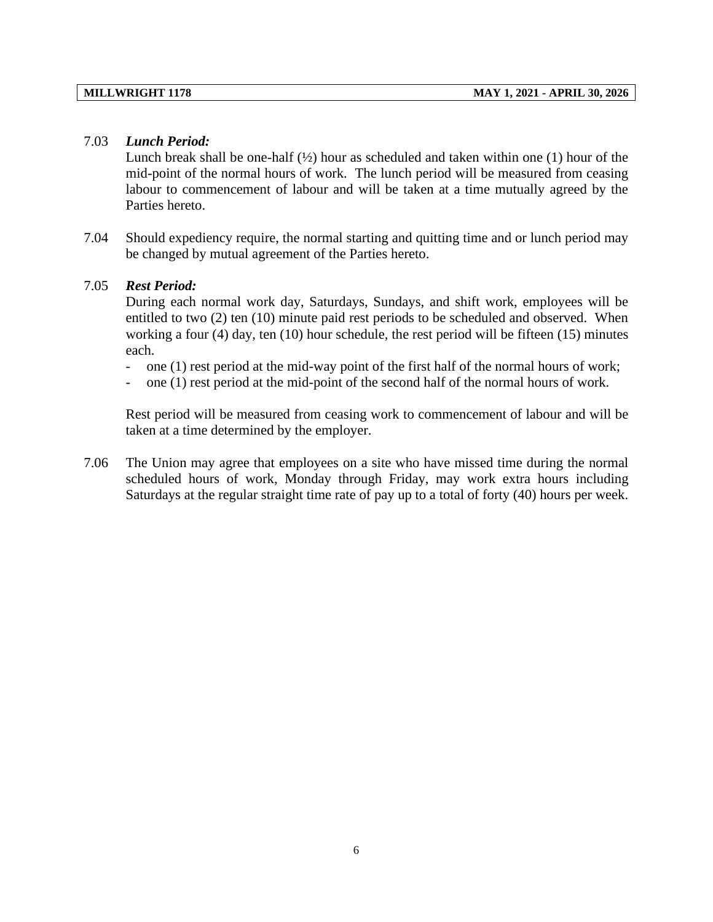### 7.03 *Lunch Period:*

Lunch break shall be one-half  $(\frac{1}{2})$  hour as scheduled and taken within one (1) hour of the mid-point of the normal hours of work. The lunch period will be measured from ceasing labour to commencement of labour and will be taken at a time mutually agreed by the Parties hereto.

7.04 Should expediency require, the normal starting and quitting time and or lunch period may be changed by mutual agreement of the Parties hereto.

#### 7.05 *Rest Period:*

During each normal work day, Saturdays, Sundays, and shift work, employees will be entitled to two (2) ten (10) minute paid rest periods to be scheduled and observed. When working a four (4) day, ten (10) hour schedule, the rest period will be fifteen (15) minutes each.

- one (1) rest period at the mid-way point of the first half of the normal hours of work;
- one (1) rest period at the mid-point of the second half of the normal hours of work.

Rest period will be measured from ceasing work to commencement of labour and will be taken at a time determined by the employer.

7.06 The Union may agree that employees on a site who have missed time during the normal scheduled hours of work, Monday through Friday, may work extra hours including Saturdays at the regular straight time rate of pay up to a total of forty (40) hours per week.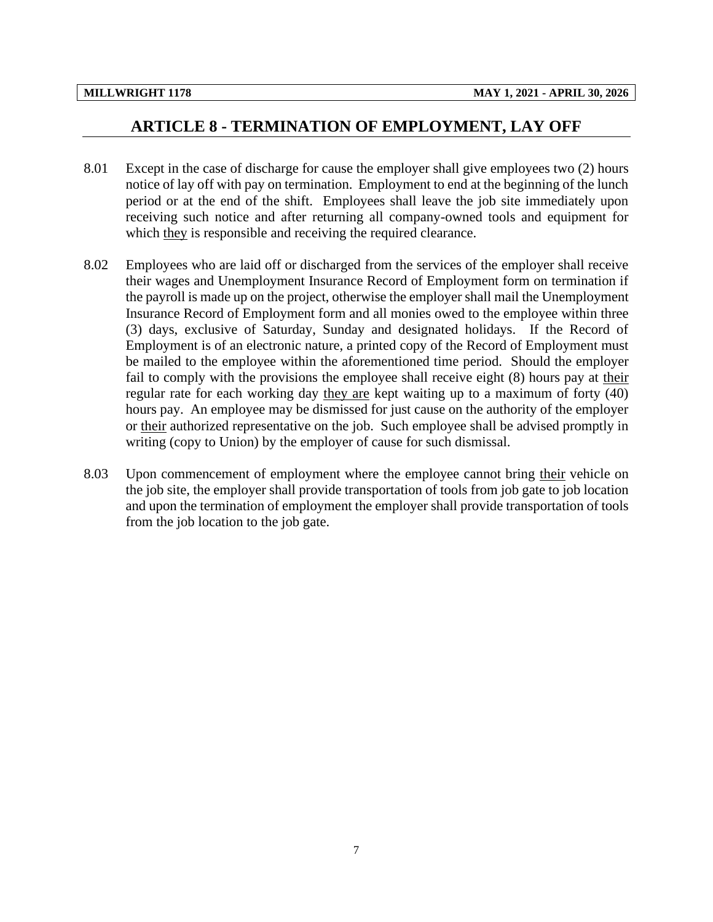# **ARTICLE 8 - TERMINATION OF EMPLOYMENT, LAY OFF**

- <span id="page-9-0"></span>8.01 Except in the case of discharge for cause the employer shall give employees two (2) hours notice of lay off with pay on termination. Employment to end at the beginning of the lunch period or at the end of the shift. Employees shall leave the job site immediately upon receiving such notice and after returning all company-owned tools and equipment for which they is responsible and receiving the required clearance.
- 8.02 Employees who are laid off or discharged from the services of the employer shall receive their wages and Unemployment Insurance Record of Employment form on termination if the payroll is made up on the project, otherwise the employer shall mail the Unemployment Insurance Record of Employment form and all monies owed to the employee within three (3) days, exclusive of Saturday, Sunday and designated holidays. If the Record of Employment is of an electronic nature, a printed copy of the Record of Employment must be mailed to the employee within the aforementioned time period. Should the employer fail to comply with the provisions the employee shall receive eight (8) hours pay at their regular rate for each working day they are kept waiting up to a maximum of forty (40) hours pay. An employee may be dismissed for just cause on the authority of the employer or their authorized representative on the job. Such employee shall be advised promptly in writing (copy to Union) by the employer of cause for such dismissal.
- 8.03 Upon commencement of employment where the employee cannot bring their vehicle on the job site, the employer shall provide transportation of tools from job gate to job location and upon the termination of employment the employer shall provide transportation of tools from the job location to the job gate.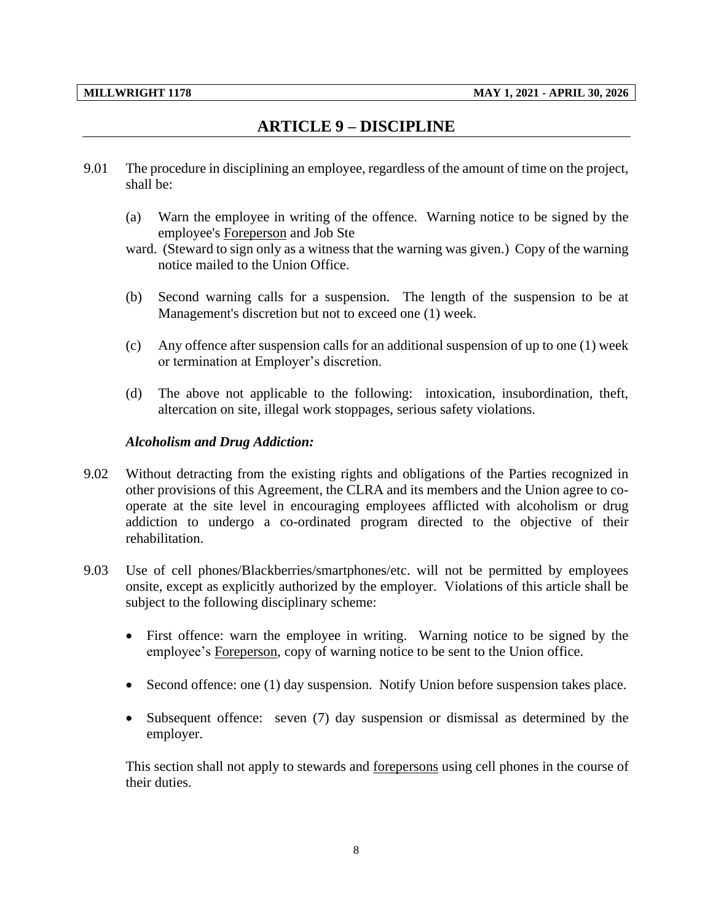# **ARTICLE 9 – DISCIPLINE**

- <span id="page-10-0"></span>9.01 The procedure in disciplining an employee, regardless of the amount of time on the project, shall be:
	- (a) Warn the employee in writing of the offence. Warning notice to be signed by the employee's Foreperson and Job Ste
	- ward. (Steward to sign only as a witness that the warning was given.) Copy of the warning notice mailed to the Union Office.
	- (b) Second warning calls for a suspension. The length of the suspension to be at Management's discretion but not to exceed one (1) week.
	- (c) Any offence after suspension calls for an additional suspension of up to one (1) week or termination at Employer's discretion.
	- (d) The above not applicable to the following: intoxication, insubordination, theft, altercation on site, illegal work stoppages, serious safety violations.

#### *Alcoholism and Drug Addiction:*

- 9.02 Without detracting from the existing rights and obligations of the Parties recognized in other provisions of this Agreement, the CLRA and its members and the Union agree to cooperate at the site level in encouraging employees afflicted with alcoholism or drug addiction to undergo a co-ordinated program directed to the objective of their rehabilitation.
- 9.03 Use of cell phones/Blackberries/smartphones/etc. will not be permitted by employees onsite, except as explicitly authorized by the employer. Violations of this article shall be subject to the following disciplinary scheme:
	- First offence: warn the employee in writing. Warning notice to be signed by the employee's Foreperson, copy of warning notice to be sent to the Union office.
	- Second offence: one (1) day suspension. Notify Union before suspension takes place.
	- Subsequent offence: seven (7) day suspension or dismissal as determined by the employer.

This section shall not apply to stewards and <u>forepersons</u> using cell phones in the course of their duties.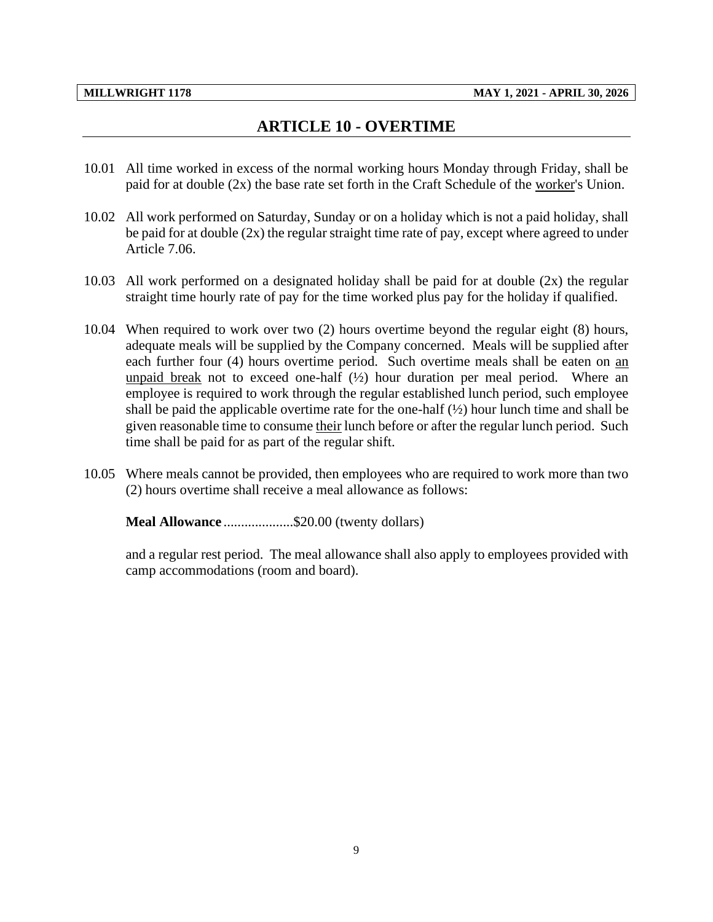# **ARTICLE 10 - OVERTIME**

- <span id="page-11-0"></span>10.01 All time worked in excess of the normal working hours Monday through Friday, shall be paid for at double (2x) the base rate set forth in the Craft Schedule of the worker's Union.
- 10.02 All work performed on Saturday, Sunday or on a holiday which is not a paid holiday, shall be paid for at double  $(2x)$  the regular straight time rate of pay, except where agreed to under Article 7.06.
- 10.03 All work performed on a designated holiday shall be paid for at double (2x) the regular straight time hourly rate of pay for the time worked plus pay for the holiday if qualified.
- 10.04 When required to work over two (2) hours overtime beyond the regular eight (8) hours, adequate meals will be supplied by the Company concerned. Meals will be supplied after each further four (4) hours overtime period. Such overtime meals shall be eaten on an unpaid break not to exceed one-half  $(\frac{1}{2})$  hour duration per meal period. Where an employee is required to work through the regular established lunch period, such employee shall be paid the applicable overtime rate for the one-half  $(\frac{1}{2})$  hour lunch time and shall be given reasonable time to consume their lunch before or after the regular lunch period. Such time shall be paid for as part of the regular shift.
- 10.05 Where meals cannot be provided, then employees who are required to work more than two (2) hours overtime shall receive a meal allowance as follows:

**Meal Allowance** .......................\$20.00 (twenty dollars)

and a regular rest period. The meal allowance shall also apply to employees provided with camp accommodations (room and board).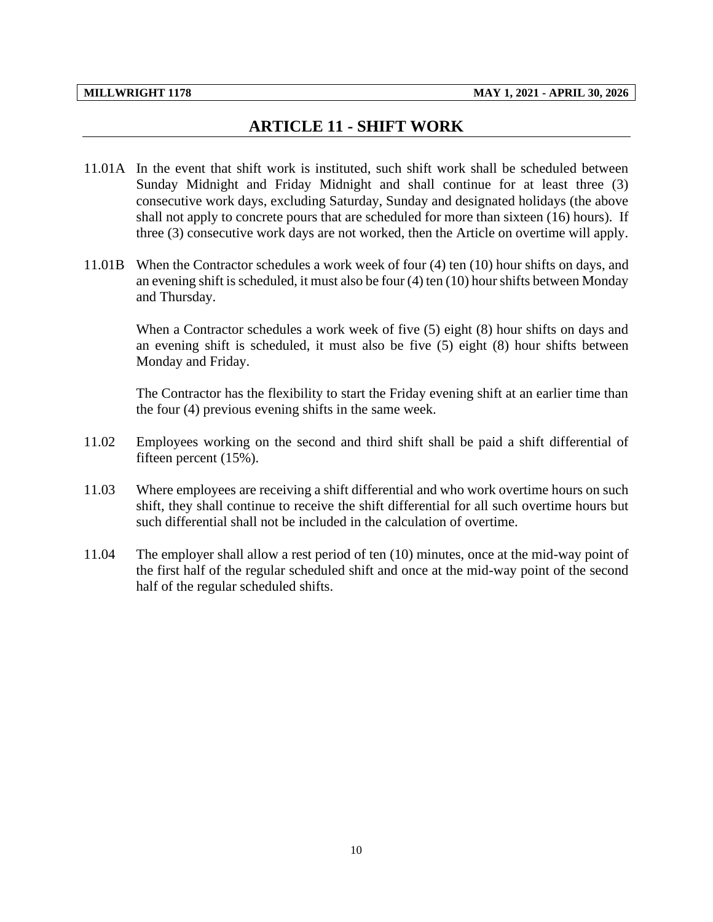# **ARTICLE 11 - SHIFT WORK**

- <span id="page-12-0"></span>11.01A In the event that shift work is instituted, such shift work shall be scheduled between Sunday Midnight and Friday Midnight and shall continue for at least three (3) consecutive work days, excluding Saturday, Sunday and designated holidays (the above shall not apply to concrete pours that are scheduled for more than sixteen (16) hours). If three (3) consecutive work days are not worked, then the Article on overtime will apply.
- 11.01B When the Contractor schedules a work week of four (4) ten (10) hour shifts on days, and an evening shift is scheduled, it must also be four (4) ten (10) hour shifts between Monday and Thursday.

When a Contractor schedules a work week of five (5) eight (8) hour shifts on days and an evening shift is scheduled, it must also be five (5) eight (8) hour shifts between Monday and Friday.

The Contractor has the flexibility to start the Friday evening shift at an earlier time than the four (4) previous evening shifts in the same week.

- 11.02 Employees working on the second and third shift shall be paid a shift differential of fifteen percent (15%).
- 11.03 Where employees are receiving a shift differential and who work overtime hours on such shift, they shall continue to receive the shift differential for all such overtime hours but such differential shall not be included in the calculation of overtime.
- 11.04 The employer shall allow a rest period of ten (10) minutes, once at the mid-way point of the first half of the regular scheduled shift and once at the mid-way point of the second half of the regular scheduled shifts.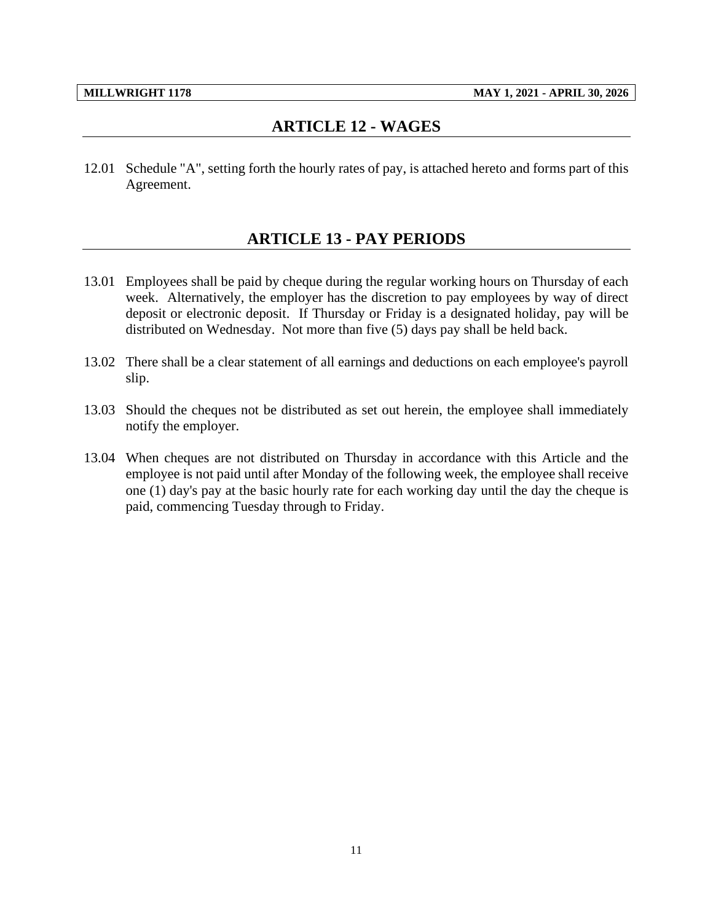# **ARTICLE 12 - WAGES**

<span id="page-13-1"></span><span id="page-13-0"></span>12.01 Schedule "A", setting forth the hourly rates of pay, is attached hereto and forms part of this Agreement.

# **ARTICLE 13 - PAY PERIODS**

- 13.01 Employees shall be paid by cheque during the regular working hours on Thursday of each week. Alternatively, the employer has the discretion to pay employees by way of direct deposit or electronic deposit. If Thursday or Friday is a designated holiday, pay will be distributed on Wednesday. Not more than five (5) days pay shall be held back.
- 13.02 There shall be a clear statement of all earnings and deductions on each employee's payroll slip.
- 13.03 Should the cheques not be distributed as set out herein, the employee shall immediately notify the employer.
- 13.04 When cheques are not distributed on Thursday in accordance with this Article and the employee is not paid until after Monday of the following week, the employee shall receive one (1) day's pay at the basic hourly rate for each working day until the day the cheque is paid, commencing Tuesday through to Friday.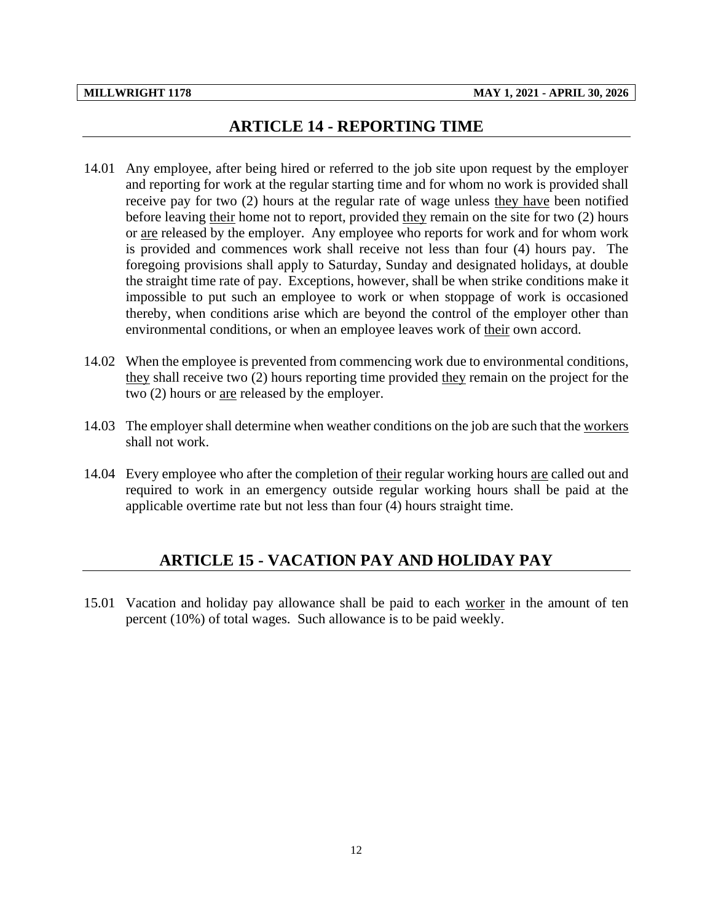# **ARTICLE 14 - REPORTING TIME**

- <span id="page-14-0"></span>14.01 Any employee, after being hired or referred to the job site upon request by the employer and reporting for work at the regular starting time and for whom no work is provided shall receive pay for two (2) hours at the regular rate of wage unless they have been notified before leaving their home not to report, provided they remain on the site for two (2) hours or are released by the employer. Any employee who reports for work and for whom work is provided and commences work shall receive not less than four (4) hours pay. The foregoing provisions shall apply to Saturday, Sunday and designated holidays, at double the straight time rate of pay. Exceptions, however, shall be when strike conditions make it impossible to put such an employee to work or when stoppage of work is occasioned thereby, when conditions arise which are beyond the control of the employer other than environmental conditions, or when an employee leaves work of their own accord.
- 14.02 When the employee is prevented from commencing work due to environmental conditions, they shall receive two (2) hours reporting time provided they remain on the project for the two (2) hours or are released by the employer.
- 14.03 The employer shall determine when weather conditions on the job are such that the workers shall not work.
- <span id="page-14-1"></span>14.04 Every employee who after the completion of their regular working hours are called out and required to work in an emergency outside regular working hours shall be paid at the applicable overtime rate but not less than four (4) hours straight time.

# **ARTICLE 15 - VACATION PAY AND HOLIDAY PAY**

15.01 Vacation and holiday pay allowance shall be paid to each worker in the amount of ten percent (10%) of total wages. Such allowance is to be paid weekly.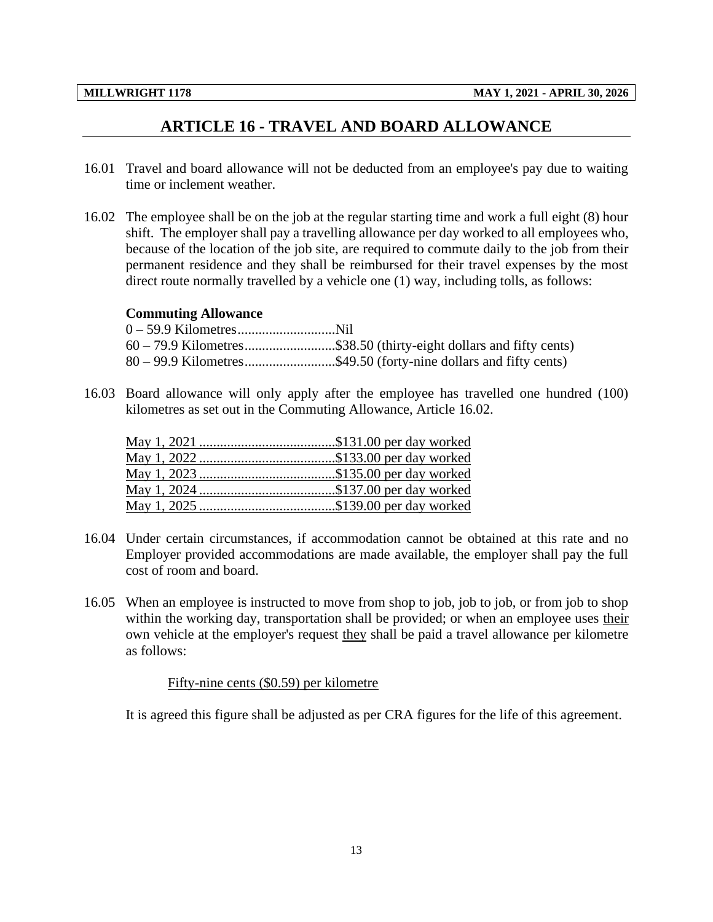# **ARTICLE 16 - TRAVEL AND BOARD ALLOWANCE**

- <span id="page-15-0"></span>16.01 Travel and board allowance will not be deducted from an employee's pay due to waiting time or inclement weather.
- 16.02 The employee shall be on the job at the regular starting time and work a full eight (8) hour shift. The employer shall pay a travelling allowance per day worked to all employees who, because of the location of the job site, are required to commute daily to the job from their permanent residence and they shall be reimbursed for their travel expenses by the most direct route normally travelled by a vehicle one (1) way, including tolls, as follows:

#### **Commuting Allowance**

| 60 – 79.9 Kilometres\$38.50 (thirty-eight dollars and fifty cents) |
|--------------------------------------------------------------------|
| 80 – 99.9 Kilometres\$49.50 (forty-nine dollars and fifty cents)   |

16.03 Board allowance will only apply after the employee has travelled one hundred (100) kilometres as set out in the Commuting Allowance, Article 16.02.

- 16.04 Under certain circumstances, if accommodation cannot be obtained at this rate and no Employer provided accommodations are made available, the employer shall pay the full cost of room and board.
- 16.05 When an employee is instructed to move from shop to job, job to job, or from job to shop within the working day, transportation shall be provided; or when an employee uses their own vehicle at the employer's request they shall be paid a travel allowance per kilometre as follows:

Fifty-nine cents (\$0.59) per kilometre

It is agreed this figure shall be adjusted as per CRA figures for the life of this agreement.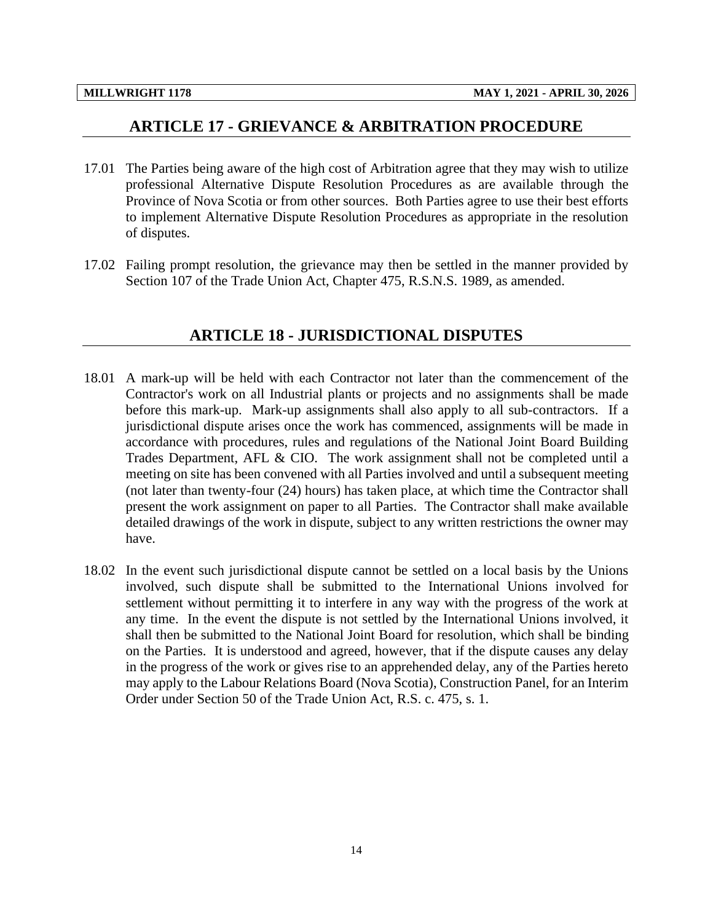#### **ARTICLE 17 - GRIEVANCE & ARBITRATION PROCEDURE**

- <span id="page-16-0"></span>17.01 The Parties being aware of the high cost of Arbitration agree that they may wish to utilize professional Alternative Dispute Resolution Procedures as are available through the Province of Nova Scotia or from other sources. Both Parties agree to use their best efforts to implement Alternative Dispute Resolution Procedures as appropriate in the resolution of disputes.
- <span id="page-16-1"></span>17.02 Failing prompt resolution, the grievance may then be settled in the manner provided by Section 107 of the Trade Union Act, Chapter 475, R.S.N.S. 1989, as amended.

# **ARTICLE 18 - JURISDICTIONAL DISPUTES**

- 18.01 A mark-up will be held with each Contractor not later than the commencement of the Contractor's work on all Industrial plants or projects and no assignments shall be made before this mark-up. Mark-up assignments shall also apply to all sub-contractors. If a jurisdictional dispute arises once the work has commenced, assignments will be made in accordance with procedures, rules and regulations of the National Joint Board Building Trades Department, AFL & CIO. The work assignment shall not be completed until a meeting on site has been convened with all Parties involved and until a subsequent meeting (not later than twenty-four (24) hours) has taken place, at which time the Contractor shall present the work assignment on paper to all Parties. The Contractor shall make available detailed drawings of the work in dispute, subject to any written restrictions the owner may have.
- 18.02 In the event such jurisdictional dispute cannot be settled on a local basis by the Unions involved, such dispute shall be submitted to the International Unions involved for settlement without permitting it to interfere in any way with the progress of the work at any time. In the event the dispute is not settled by the International Unions involved, it shall then be submitted to the National Joint Board for resolution, which shall be binding on the Parties. It is understood and agreed, however, that if the dispute causes any delay in the progress of the work or gives rise to an apprehended delay, any of the Parties hereto may apply to the Labour Relations Board (Nova Scotia), Construction Panel, for an Interim Order under Section 50 of the Trade Union Act, R.S. c. 475, s. 1.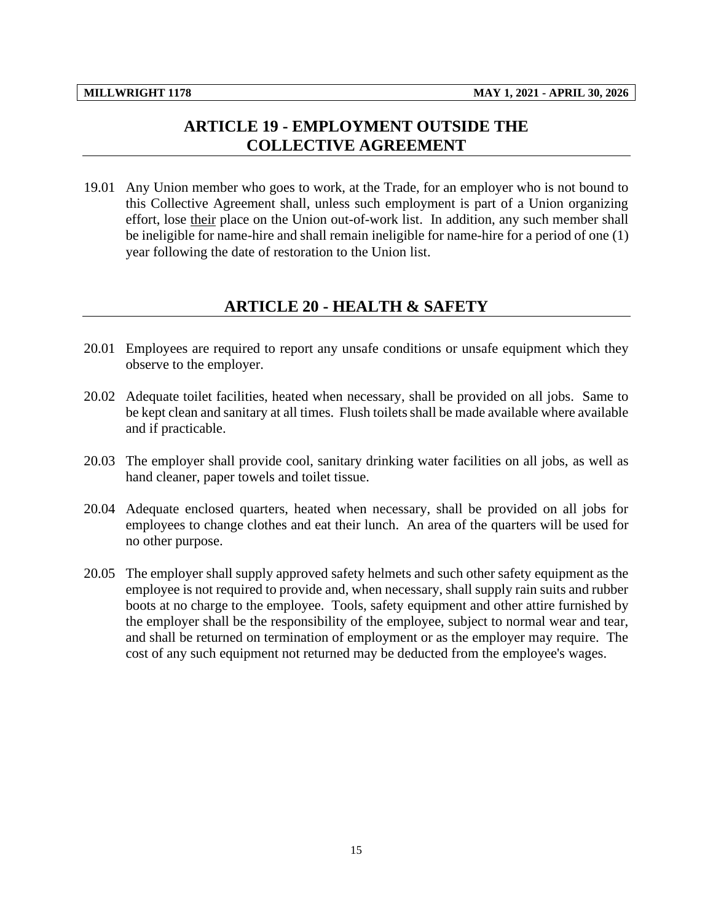# **ARTICLE 19 - EMPLOYMENT OUTSIDE THE COLLECTIVE AGREEMENT**

<span id="page-17-0"></span>19.01 Any Union member who goes to work, at the Trade, for an employer who is not bound to this Collective Agreement shall, unless such employment is part of a Union organizing effort, lose their place on the Union out-of-work list. In addition, any such member shall be ineligible for name-hire and shall remain ineligible for name-hire for a period of one (1) year following the date of restoration to the Union list.

# **ARTICLE 20 - HEALTH & SAFETY**

- <span id="page-17-1"></span>20.01 Employees are required to report any unsafe conditions or unsafe equipment which they observe to the employer.
- 20.02 Adequate toilet facilities, heated when necessary, shall be provided on all jobs. Same to be kept clean and sanitary at all times. Flush toilets shall be made available where available and if practicable.
- 20.03 The employer shall provide cool, sanitary drinking water facilities on all jobs, as well as hand cleaner, paper towels and toilet tissue.
- 20.04 Adequate enclosed quarters, heated when necessary, shall be provided on all jobs for employees to change clothes and eat their lunch. An area of the quarters will be used for no other purpose.
- 20.05 The employer shall supply approved safety helmets and such other safety equipment as the employee is not required to provide and, when necessary, shall supply rain suits and rubber boots at no charge to the employee. Tools, safety equipment and other attire furnished by the employer shall be the responsibility of the employee, subject to normal wear and tear, and shall be returned on termination of employment or as the employer may require. The cost of any such equipment not returned may be deducted from the employee's wages.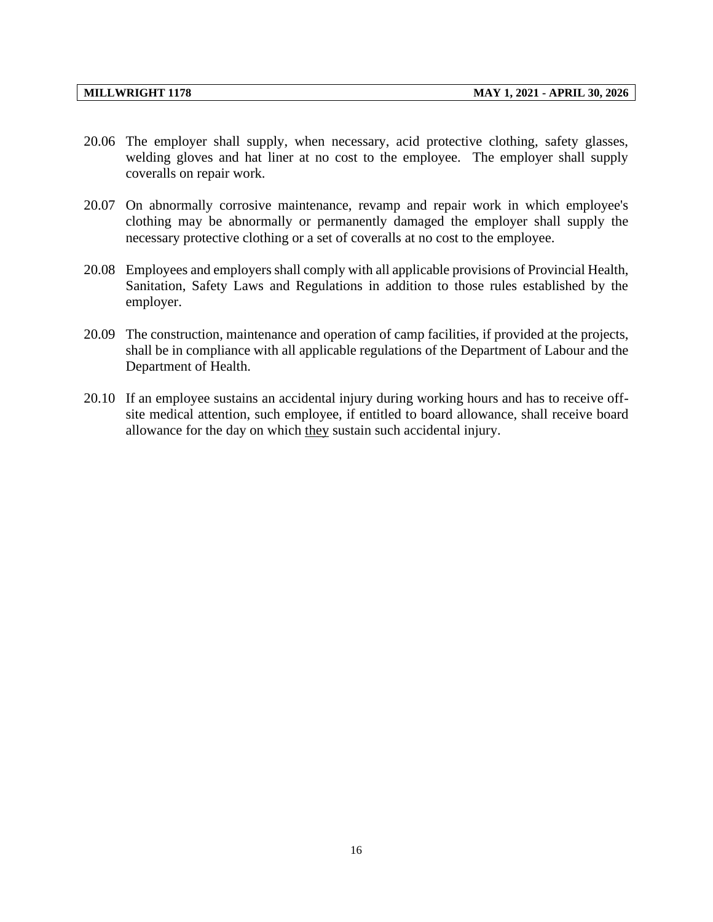- 20.06 The employer shall supply, when necessary, acid protective clothing, safety glasses, welding gloves and hat liner at no cost to the employee. The employer shall supply coveralls on repair work.
- 20.07 On abnormally corrosive maintenance, revamp and repair work in which employee's clothing may be abnormally or permanently damaged the employer shall supply the necessary protective clothing or a set of coveralls at no cost to the employee.
- 20.08 Employees and employers shall comply with all applicable provisions of Provincial Health, Sanitation, Safety Laws and Regulations in addition to those rules established by the employer.
- 20.09 The construction, maintenance and operation of camp facilities, if provided at the projects, shall be in compliance with all applicable regulations of the Department of Labour and the Department of Health.
- 20.10 If an employee sustains an accidental injury during working hours and has to receive offsite medical attention, such employee, if entitled to board allowance, shall receive board allowance for the day on which they sustain such accidental injury.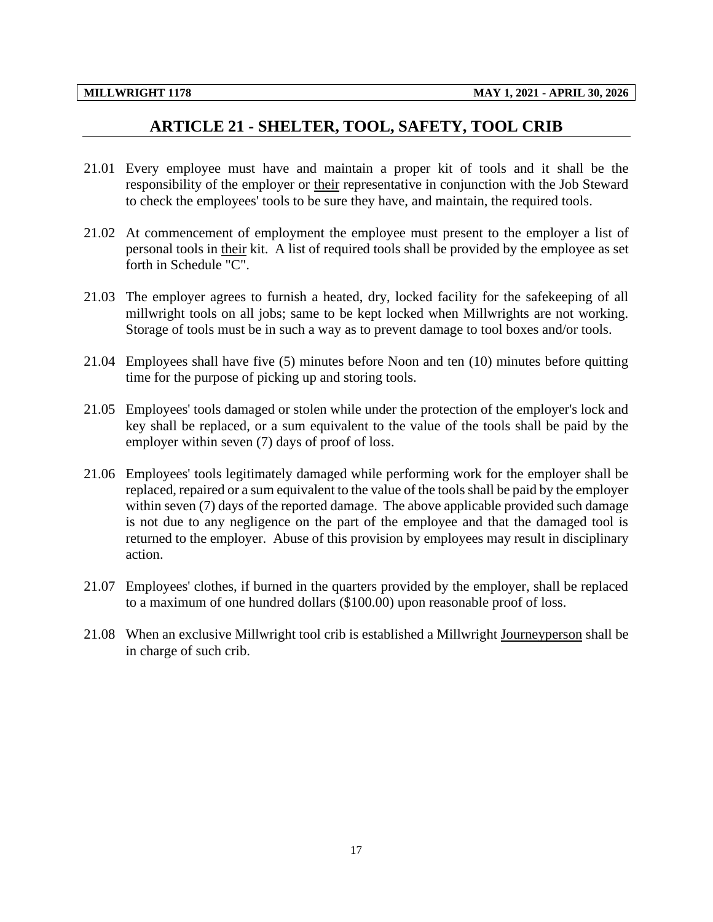### **ARTICLE 21 - SHELTER, TOOL, SAFETY, TOOL CRIB**

- <span id="page-19-0"></span>21.01 Every employee must have and maintain a proper kit of tools and it shall be the responsibility of the employer or their representative in conjunction with the Job Steward to check the employees' tools to be sure they have, and maintain, the required tools.
- 21.02 At commencement of employment the employee must present to the employer a list of personal tools in their kit. A list of required tools shall be provided by the employee as set forth in Schedule "C".
- 21.03 The employer agrees to furnish a heated, dry, locked facility for the safekeeping of all millwright tools on all jobs; same to be kept locked when Millwrights are not working. Storage of tools must be in such a way as to prevent damage to tool boxes and/or tools.
- 21.04 Employees shall have five (5) minutes before Noon and ten (10) minutes before quitting time for the purpose of picking up and storing tools.
- 21.05 Employees' tools damaged or stolen while under the protection of the employer's lock and key shall be replaced, or a sum equivalent to the value of the tools shall be paid by the employer within seven (7) days of proof of loss.
- 21.06 Employees' tools legitimately damaged while performing work for the employer shall be replaced, repaired or a sum equivalent to the value of the tools shall be paid by the employer within seven (7) days of the reported damage. The above applicable provided such damage is not due to any negligence on the part of the employee and that the damaged tool is returned to the employer. Abuse of this provision by employees may result in disciplinary action.
- 21.07 Employees' clothes, if burned in the quarters provided by the employer, shall be replaced to a maximum of one hundred dollars (\$100.00) upon reasonable proof of loss.
- 21.08 When an exclusive Millwright tool crib is established a Millwright Journeyperson shall be in charge of such crib.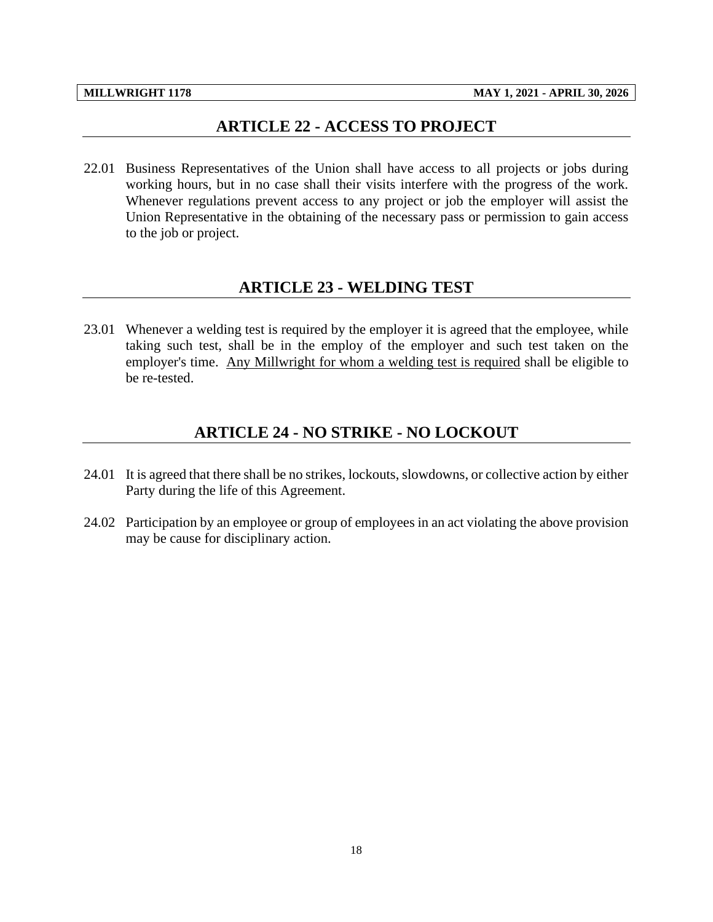# **ARTICLE 22 - ACCESS TO PROJECT**

<span id="page-20-0"></span>22.01 Business Representatives of the Union shall have access to all projects or jobs during working hours, but in no case shall their visits interfere with the progress of the work. Whenever regulations prevent access to any project or job the employer will assist the Union Representative in the obtaining of the necessary pass or permission to gain access to the job or project.

### **ARTICLE 23 - WELDING TEST**

<span id="page-20-1"></span>23.01 Whenever a welding test is required by the employer it is agreed that the employee, while taking such test, shall be in the employ of the employer and such test taken on the employer's time. Any Millwright for whom a welding test is required shall be eligible to be re-tested.

# **ARTICLE 24 - NO STRIKE - NO LOCKOUT**

- <span id="page-20-2"></span>24.01 It is agreed that there shall be no strikes, lockouts, slowdowns, or collective action by either Party during the life of this Agreement.
- 24.02 Participation by an employee or group of employees in an act violating the above provision may be cause for disciplinary action.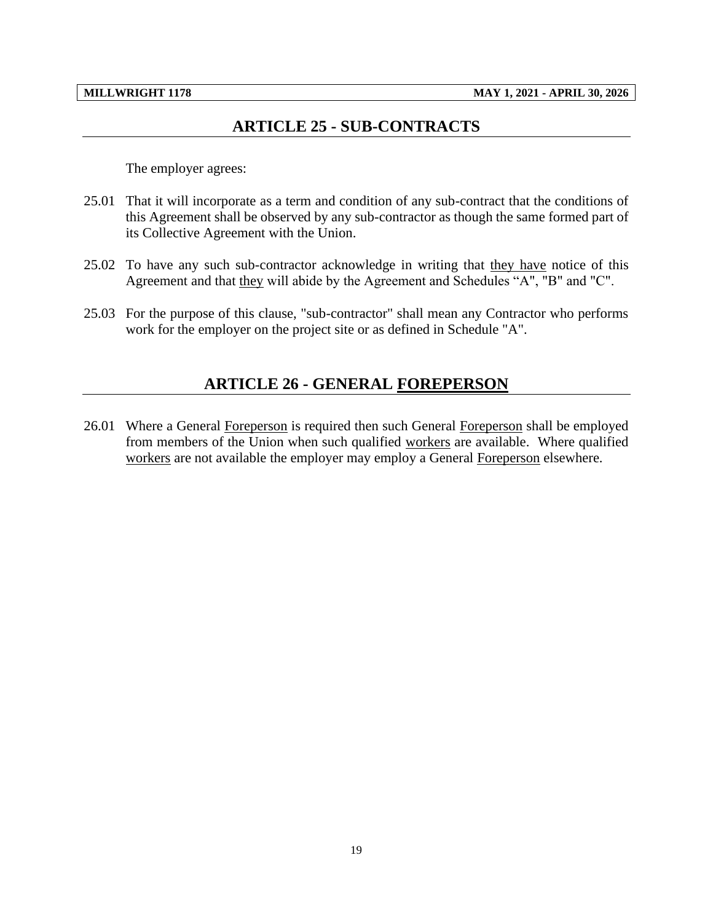# **ARTICLE 25 - SUB-CONTRACTS**

<span id="page-21-0"></span>The employer agrees:

- 25.01 That it will incorporate as a term and condition of any sub-contract that the conditions of this Agreement shall be observed by any sub-contractor as though the same formed part of its Collective Agreement with the Union.
- 25.02 To have any such sub-contractor acknowledge in writing that they have notice of this Agreement and that they will abide by the Agreement and Schedules "A", "B" and "C".
- <span id="page-21-1"></span>25.03 For the purpose of this clause, "sub-contractor" shall mean any Contractor who performs work for the employer on the project site or as defined in Schedule "A".

# **ARTICLE 26 - GENERAL FOREPERSON**

26.01 Where a General Foreperson is required then such General Foreperson shall be employed from members of the Union when such qualified workers are available. Where qualified workers are not available the employer may employ a General Foreperson elsewhere.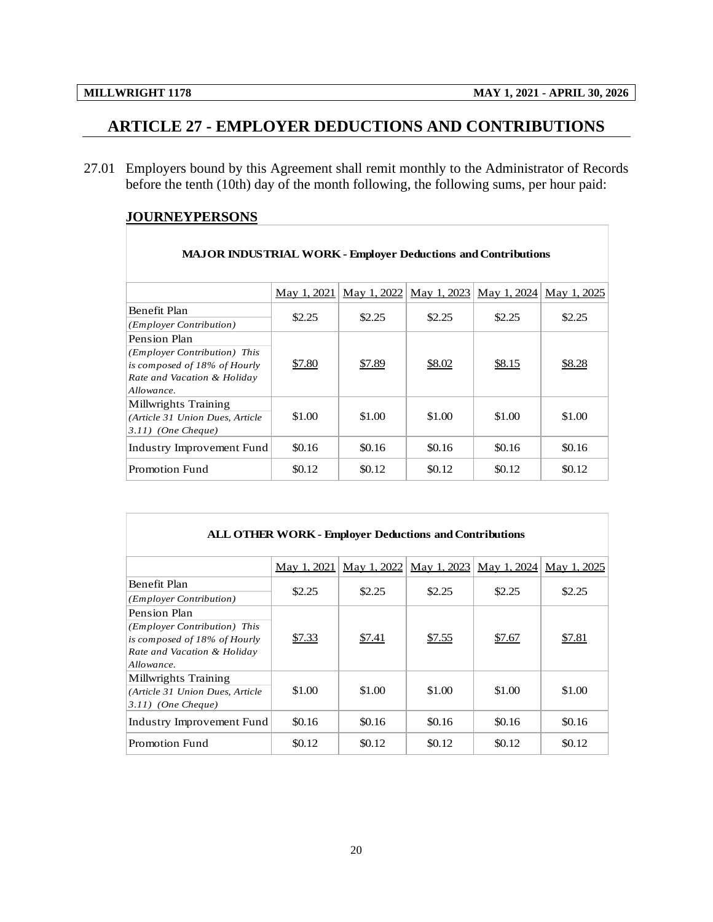# <span id="page-22-0"></span>**ARTICLE 27 - EMPLOYER DEDUCTIONS AND CONTRIBUTIONS**

27.01 Employers bound by this Agreement shall remit monthly to the Administrator of Records before the tenth (10th) day of the month following, the following sums, per hour paid:

# **JOURNEYPERSONS**

| <b>MAJOR INDUSTRIAL WORK - Employer Deductions and Contributions</b>                                                      |             |             |             |             |             |  |  |  |  |
|---------------------------------------------------------------------------------------------------------------------------|-------------|-------------|-------------|-------------|-------------|--|--|--|--|
|                                                                                                                           | May 1, 2021 | May 1, 2022 | May 1, 2023 | May 1, 2024 | May 1, 2025 |  |  |  |  |
| Benefit Plan<br>(Employer Contribution)                                                                                   | \$2.25      | \$2.25      | \$2.25      | \$2.25      | \$2.25      |  |  |  |  |
| Pension Plan<br>(Employer Contribution) This<br>is composed of 18% of Hourly<br>Rate and Vacation & Holiday<br>Allowance. | \$7.80      | \$7.89      | \$8.02      | \$8.15      | \$8.28      |  |  |  |  |
| Millwrights Training<br>(Article 31 Union Dues, Article<br>$3.11)$ (One Cheque)                                           | \$1.00      | \$1.00      | \$1.00      | \$1.00      | \$1.00      |  |  |  |  |
| Industry Improvement Fund                                                                                                 | \$0.16      | \$0.16      | \$0.16      | \$0.16      | \$0.16      |  |  |  |  |
| Promotion Fund                                                                                                            | \$0.12      | \$0.12      | \$0.12      | \$0.12      | \$0.12      |  |  |  |  |

| <b>ALL OTHER WORK - Employer Deductions and Contributions</b>                                                             |             |             |             |        |                           |  |  |  |
|---------------------------------------------------------------------------------------------------------------------------|-------------|-------------|-------------|--------|---------------------------|--|--|--|
|                                                                                                                           | May 1, 2021 | May 1, 2022 | May 1, 2023 |        | May 1, 2024   May 1, 2025 |  |  |  |
| Benefit Plan<br>(Employer Contribution)                                                                                   | \$2.25      | \$2.25      | \$2.25      | \$2.25 | \$2.25                    |  |  |  |
| Pension Plan<br>(Employer Contribution) This<br>is composed of 18% of Hourly<br>Rate and Vacation & Holiday<br>Allowance. | \$7.33      | \$7.41      | \$7.55      | \$7.67 | \$7.81                    |  |  |  |
| Millwrights Training<br>(Article 31 Union Dues, Article<br>3.11) (One Cheque)                                             | \$1.00      | \$1.00      | \$1.00      | \$1.00 | \$1.00                    |  |  |  |
| Industry Improvement Fund                                                                                                 | \$0.16      | \$0.16      | \$0.16      | \$0.16 | \$0.16                    |  |  |  |
| Promotion Fund                                                                                                            | \$0.12      | \$0.12      | \$0.12      | \$0.12 | \$0.12                    |  |  |  |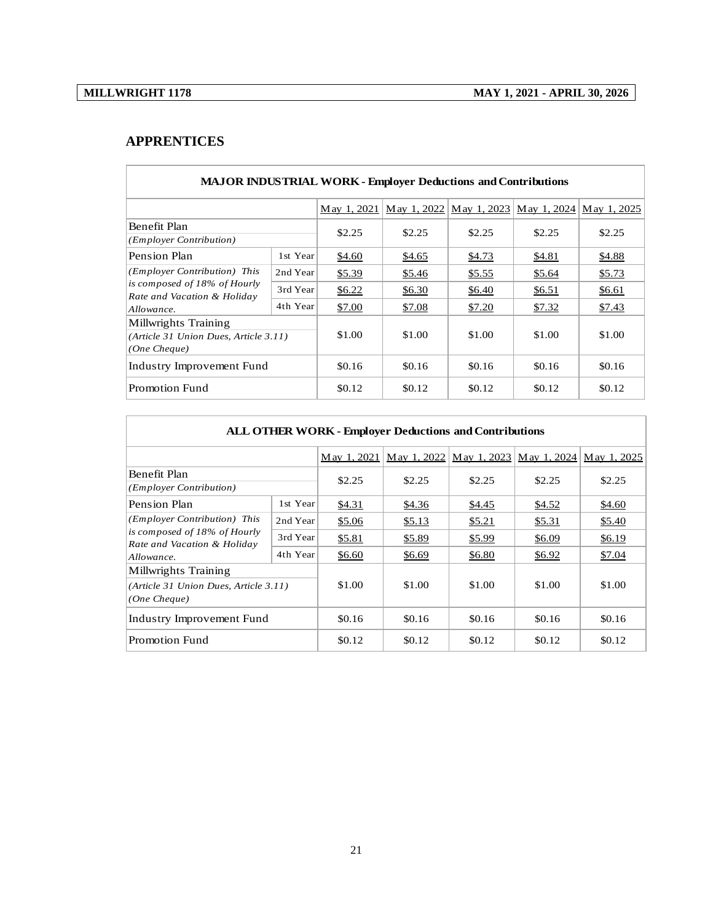# **APPRENTICES**

| <b>MAJOR INDUSTRIAL WORK - Employer Deductions and Contributions</b>                     |          |             |             |             |             |             |  |  |
|------------------------------------------------------------------------------------------|----------|-------------|-------------|-------------|-------------|-------------|--|--|
|                                                                                          |          | May 1, 2021 | May 1, 2022 | May 1, 2023 | May 1, 2024 | May 1, 2025 |  |  |
| Benefit Plan<br>( <i>Employer Contribution</i> )                                         |          | \$2.25      | \$2.25      | \$2.25      | \$2.25      | \$2.25      |  |  |
| Pension Plan                                                                             | 1st Year | \$4.60      | \$4.65      | \$4.73      | \$4.81      | \$4.88      |  |  |
| (Employer Contribution) This                                                             | 2nd Year | \$5.39      | \$5.46      | \$5.55      | \$5.64      | \$5.73      |  |  |
| is composed of 18% of Hourly<br>Rate and Vacation & Holiday                              | 3rd Year | \$6.22      | \$6.30      | \$6.40      | \$6.51      | \$6.61      |  |  |
| Allowance.                                                                               | 4th Year | \$7.00      | \$7.08      | \$7.20      | \$7.32      | \$7.43      |  |  |
| Millwrights Training<br>(Article 31 Union Dues, Article 3.11)<br>$(One \textit{Change})$ |          | \$1.00      | \$1.00      | \$1.00      | \$1.00      | \$1.00      |  |  |
| Industry Improvement Fund                                                                |          | \$0.16      | \$0.16      | \$0.16      | \$0.16      | \$0.16      |  |  |
| <b>Promotion Fund</b>                                                                    |          | \$0.12      | \$0.12      | \$0.12      | \$0.12      | \$0.12      |  |  |

| <b>ALL OTHER WORK - Employer Deductions and Contributions</b>                 |          |             |             |             |             |             |  |  |
|-------------------------------------------------------------------------------|----------|-------------|-------------|-------------|-------------|-------------|--|--|
|                                                                               |          | May 1, 2021 | May 1, 2022 | May 1, 2023 | May 1, 2024 | May 1, 2025 |  |  |
| Benefit Plan<br>(Employer Contribution)                                       |          | \$2.25      | \$2.25      | \$2.25      | \$2.25      | \$2.25      |  |  |
| Pension Plan                                                                  | 1st Year | \$4.31      | \$4.36      | \$4.45      | \$4.52      | \$4.60      |  |  |
| (Employer Contribution) This                                                  | 2nd Year | \$5.06      | \$5.13      | \$5.21      | \$5.31      | \$5.40      |  |  |
| is composed of 18% of Hourly<br>Rate and Vacation & Holiday                   | 3rd Year | \$5.81      | \$5.89      | \$5.99      | \$6.09      | \$6.19      |  |  |
| Allowance.                                                                    | 4th Year | \$6.60      | \$6.69      | \$6.80      | \$6.92      | \$7.04      |  |  |
| Millwrights Training<br>(Article 31 Union Dues, Article 3.11)<br>(One Cheque) |          | \$1.00      | \$1.00      | \$1.00      | \$1.00      | \$1.00      |  |  |
| Industry Improvement Fund                                                     |          | \$0.16      | \$0.16      | \$0.16      | \$0.16      | \$0.16      |  |  |
| <b>Promotion Fund</b>                                                         |          | \$0.12      | \$0.12      | \$0.12      | \$0.12      | \$0.12      |  |  |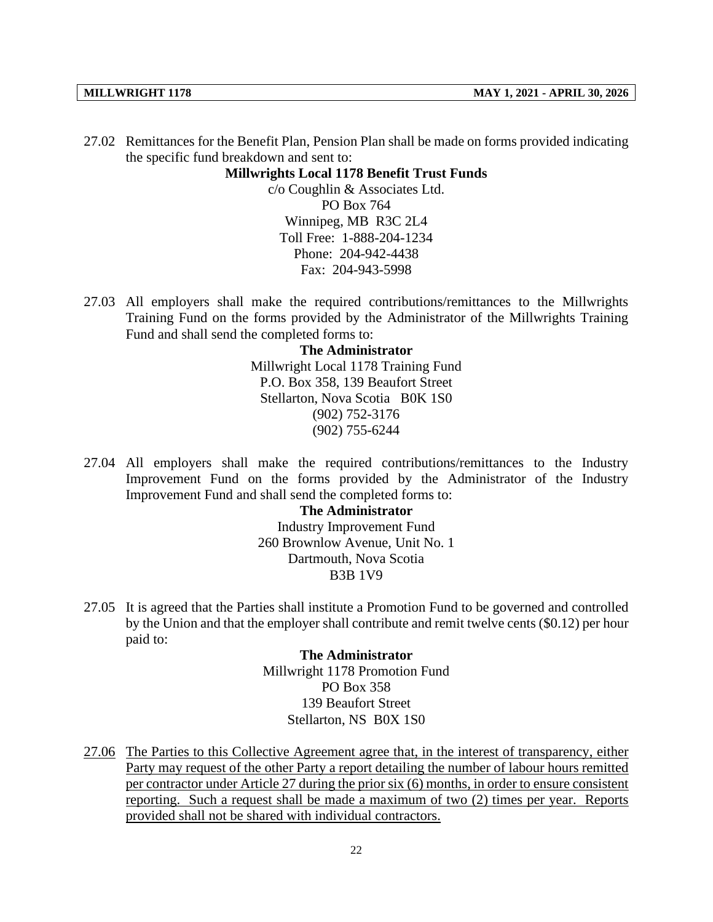27.02 Remittances for the Benefit Plan, Pension Plan shall be made on forms provided indicating the specific fund breakdown and sent to:

**Millwrights Local 1178 Benefit Trust Funds**

c/o Coughlin & Associates Ltd. PO Box 764 Winnipeg, MB R3C 2L4 Toll Free: 1-888-204-1234 Phone: 204-942-4438 Fax: 204-943-5998

27.03 All employers shall make the required contributions/remittances to the Millwrights Training Fund on the forms provided by the Administrator of the Millwrights Training Fund and shall send the completed forms to:

> **The Administrator** Millwright Local 1178 Training Fund P.O. Box 358, 139 Beaufort Street Stellarton, Nova Scotia B0K 1S0 (902) 752-3176 (902) 755-6244

27.04 All employers shall make the required contributions/remittances to the Industry Improvement Fund on the forms provided by the Administrator of the Industry Improvement Fund and shall send the completed forms to:

> **The Administrator** Industry Improvement Fund 260 Brownlow Avenue, Unit No. 1 Dartmouth, Nova Scotia B3B 1V9

27.05 It is agreed that the Parties shall institute a Promotion Fund to be governed and controlled by the Union and that the employer shall contribute and remit twelve cents (\$0.12) per hour paid to:

> **The Administrator** Millwright 1178 Promotion Fund PO Box 358 139 Beaufort Street Stellarton, NS B0X 1S0

27.06 The Parties to this Collective Agreement agree that, in the interest of transparency, either Party may request of the other Party a report detailing the number of labour hours remitted per contractor under Article 27 during the prior six (6) months, in order to ensure consistent reporting. Such a request shall be made a maximum of two (2) times per year. Reports provided shall not be shared with individual contractors.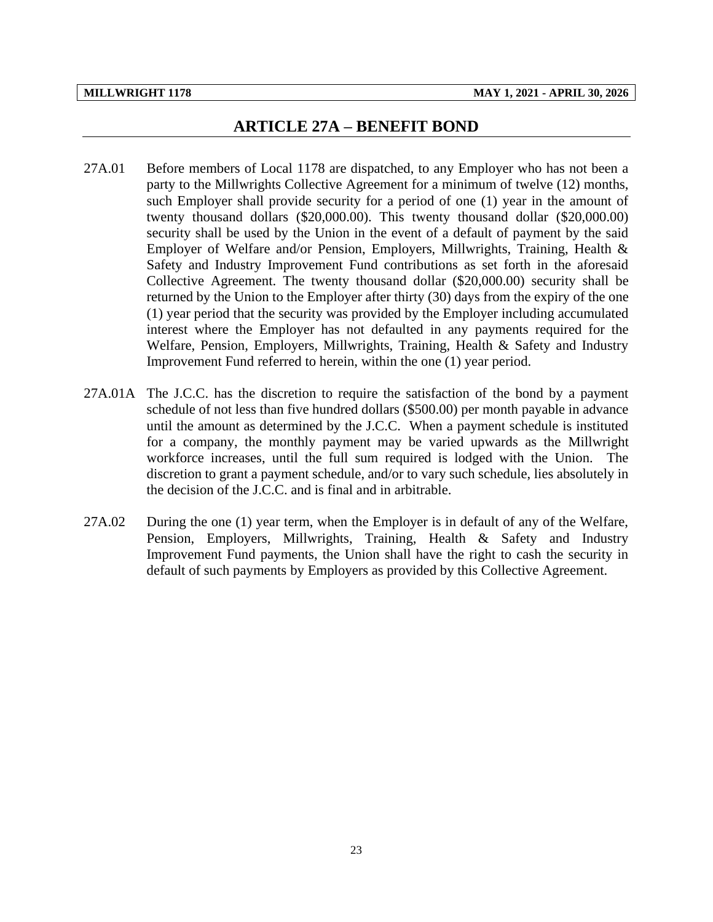### **ARTICLE 27A – BENEFIT BOND**

- <span id="page-25-0"></span>27A.01 Before members of Local 1178 are dispatched, to any Employer who has not been a party to the Millwrights Collective Agreement for a minimum of twelve (12) months, such Employer shall provide security for a period of one (1) year in the amount of twenty thousand dollars (\$20,000.00). This twenty thousand dollar (\$20,000.00) security shall be used by the Union in the event of a default of payment by the said Employer of Welfare and/or Pension, Employers, Millwrights, Training, Health & Safety and Industry Improvement Fund contributions as set forth in the aforesaid Collective Agreement. The twenty thousand dollar (\$20,000.00) security shall be returned by the Union to the Employer after thirty (30) days from the expiry of the one (1) year period that the security was provided by the Employer including accumulated interest where the Employer has not defaulted in any payments required for the Welfare, Pension, Employers, Millwrights, Training, Health & Safety and Industry Improvement Fund referred to herein, within the one (1) year period.
- 27A.01A The J.C.C. has the discretion to require the satisfaction of the bond by a payment schedule of not less than five hundred dollars (\$500.00) per month payable in advance until the amount as determined by the J.C.C. When a payment schedule is instituted for a company, the monthly payment may be varied upwards as the Millwright workforce increases, until the full sum required is lodged with the Union. The discretion to grant a payment schedule, and/or to vary such schedule, lies absolutely in the decision of the J.C.C. and is final and in arbitrable.
- 27A.02 During the one (1) year term, when the Employer is in default of any of the Welfare, Pension, Employers, Millwrights, Training, Health & Safety and Industry Improvement Fund payments, the Union shall have the right to cash the security in default of such payments by Employers as provided by this Collective Agreement.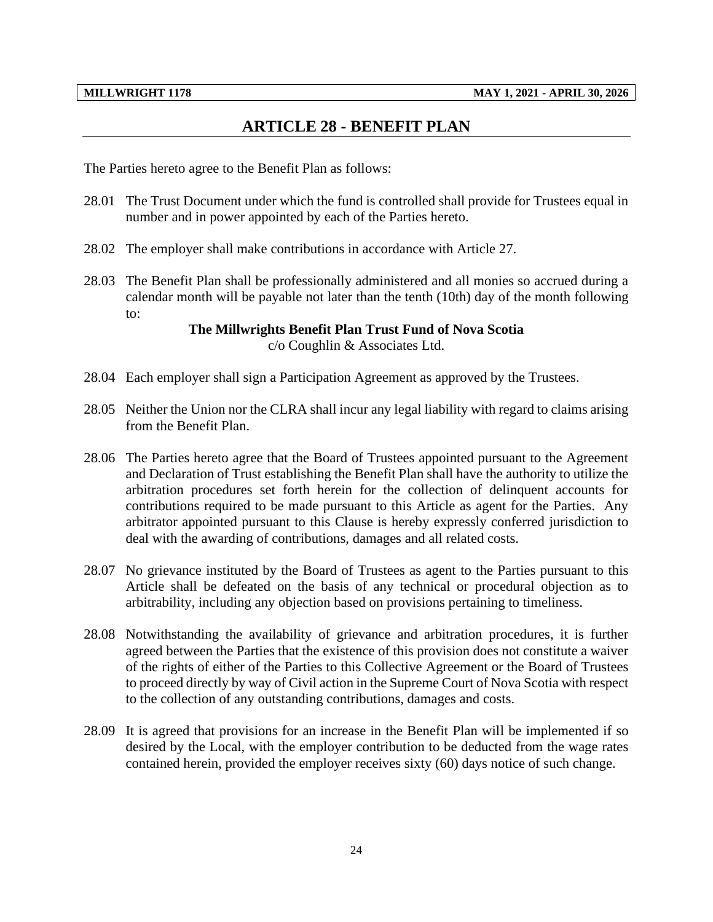# **ARTICLE 28 - BENEFIT PLAN**

<span id="page-26-0"></span>The Parties hereto agree to the Benefit Plan as follows:

- 28.01 The Trust Document under which the fund is controlled shall provide for Trustees equal in number and in power appointed by each of the Parties hereto.
- 28.02 The employer shall make contributions in accordance with Article 27.
- 28.03 The Benefit Plan shall be professionally administered and all monies so accrued during a calendar month will be payable not later than the tenth (10th) day of the month following to:

# **The Millwrights Benefit Plan Trust Fund of Nova Scotia**

c/o Coughlin & Associates Ltd.

- 28.04 Each employer shall sign a Participation Agreement as approved by the Trustees.
- 28.05 Neither the Union nor the CLRA shall incur any legal liability with regard to claims arising from the Benefit Plan.
- 28.06 The Parties hereto agree that the Board of Trustees appointed pursuant to the Agreement and Declaration of Trust establishing the Benefit Plan shall have the authority to utilize the arbitration procedures set forth herein for the collection of delinquent accounts for contributions required to be made pursuant to this Article as agent for the Parties. Any arbitrator appointed pursuant to this Clause is hereby expressly conferred jurisdiction to deal with the awarding of contributions, damages and all related costs.
- 28.07 No grievance instituted by the Board of Trustees as agent to the Parties pursuant to this Article shall be defeated on the basis of any technical or procedural objection as to arbitrability, including any objection based on provisions pertaining to timeliness.
- 28.08 Notwithstanding the availability of grievance and arbitration procedures, it is further agreed between the Parties that the existence of this provision does not constitute a waiver of the rights of either of the Parties to this Collective Agreement or the Board of Trustees to proceed directly by way of Civil action in the Supreme Court of Nova Scotia with respect to the collection of any outstanding contributions, damages and costs.
- 28.09 It is agreed that provisions for an increase in the Benefit Plan will be implemented if so desired by the Local, with the employer contribution to be deducted from the wage rates contained herein, provided the employer receives sixty (60) days notice of such change.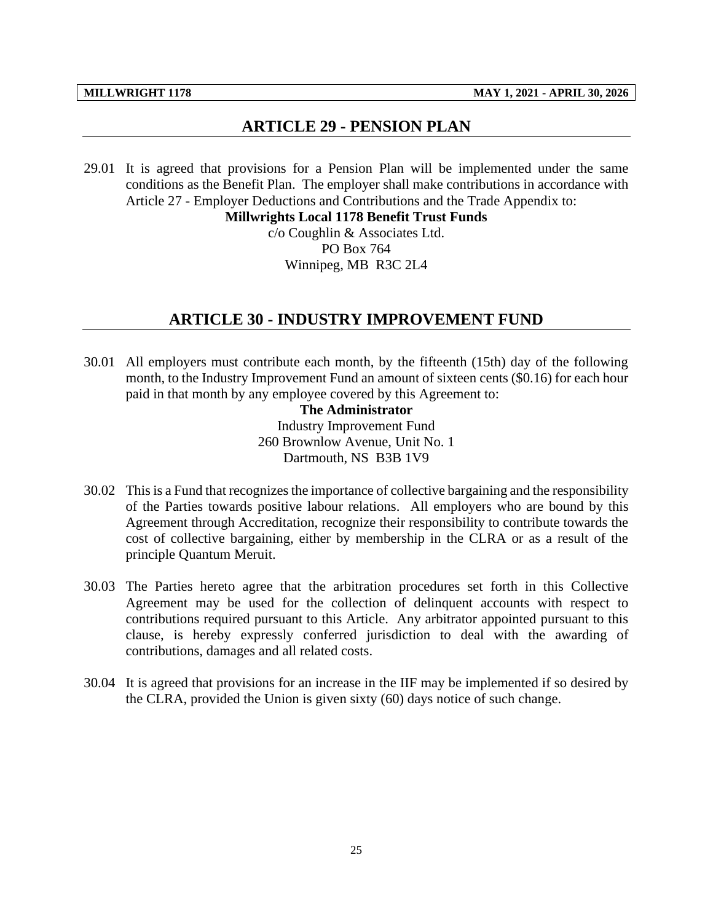# **ARTICLE 29 - PENSION PLAN**

<span id="page-27-0"></span>29.01 It is agreed that provisions for a Pension Plan will be implemented under the same conditions as the Benefit Plan. The employer shall make contributions in accordance with Article 27 - Employer Deductions and Contributions and the Trade Appendix to:

**Millwrights Local 1178 Benefit Trust Funds**

c/o Coughlin & Associates Ltd. PO Box 764 Winnipeg, MB R3C 2L4

# **ARTICLE 30 - INDUSTRY IMPROVEMENT FUND**

<span id="page-27-1"></span>30.01 All employers must contribute each month, by the fifteenth (15th) day of the following month, to the Industry Improvement Fund an amount of sixteen cents (\$0.16) for each hour paid in that month by any employee covered by this Agreement to:

> **The Administrator** Industry Improvement Fund 260 Brownlow Avenue, Unit No. 1 Dartmouth, NS B3B 1V9

- 30.02 This is a Fund that recognizes the importance of collective bargaining and the responsibility of the Parties towards positive labour relations. All employers who are bound by this Agreement through Accreditation, recognize their responsibility to contribute towards the cost of collective bargaining, either by membership in the CLRA or as a result of the principle Quantum Meruit.
- 30.03 The Parties hereto agree that the arbitration procedures set forth in this Collective Agreement may be used for the collection of delinquent accounts with respect to contributions required pursuant to this Article. Any arbitrator appointed pursuant to this clause, is hereby expressly conferred jurisdiction to deal with the awarding of contributions, damages and all related costs.
- 30.04 It is agreed that provisions for an increase in the IIF may be implemented if so desired by the CLRA, provided the Union is given sixty (60) days notice of such change.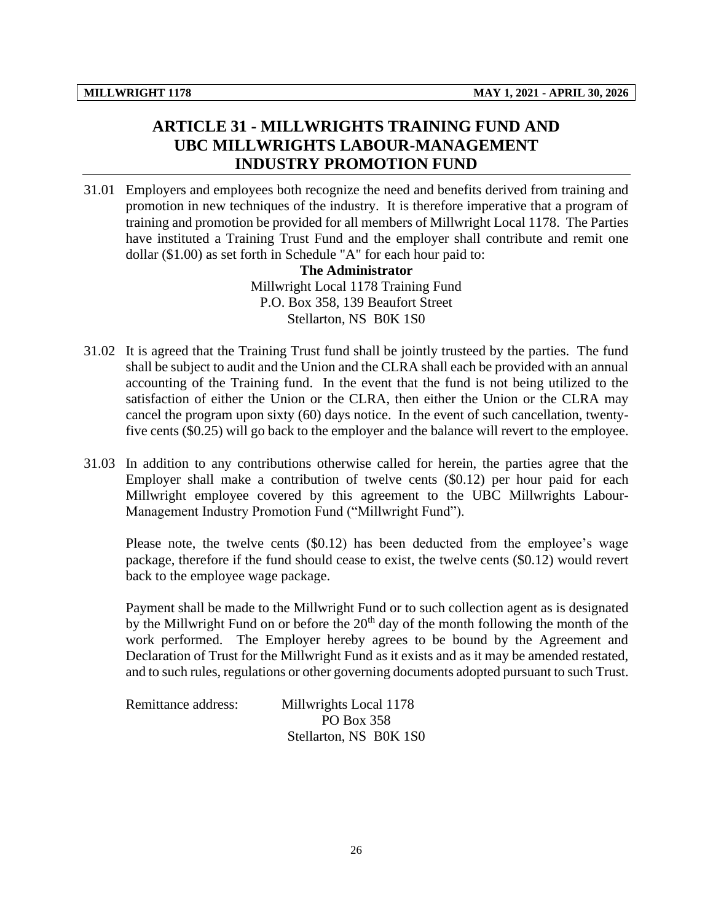# **ARTICLE 31 - MILLWRIGHTS TRAINING FUND AND UBC MILLWRIGHTS LABOUR-MANAGEMENT INDUSTRY PROMOTION FUND**

<span id="page-28-0"></span>31.01 Employers and employees both recognize the need and benefits derived from training and promotion in new techniques of the industry. It is therefore imperative that a program of training and promotion be provided for all members of Millwright Local 1178. The Parties have instituted a Training Trust Fund and the employer shall contribute and remit one dollar (\$1.00) as set forth in Schedule "A" for each hour paid to:

> **The Administrator** Millwright Local 1178 Training Fund P.O. Box 358, 139 Beaufort Street Stellarton, NS B0K 1S0

- 31.02 It is agreed that the Training Trust fund shall be jointly trusteed by the parties. The fund shall be subject to audit and the Union and the CLRA shall each be provided with an annual accounting of the Training fund. In the event that the fund is not being utilized to the satisfaction of either the Union or the CLRA, then either the Union or the CLRA may cancel the program upon sixty (60) days notice. In the event of such cancellation, twentyfive cents (\$0.25) will go back to the employer and the balance will revert to the employee.
- 31.03 In addition to any contributions otherwise called for herein, the parties agree that the Employer shall make a contribution of twelve cents (\$0.12) per hour paid for each Millwright employee covered by this agreement to the UBC Millwrights Labour-Management Industry Promotion Fund ("Millwright Fund").

Please note, the twelve cents (\$0.12) has been deducted from the employee's wage package, therefore if the fund should cease to exist, the twelve cents (\$0.12) would revert back to the employee wage package.

Payment shall be made to the Millwright Fund or to such collection agent as is designated by the Millwright Fund on or before the  $20<sup>th</sup>$  day of the month following the month of the work performed. The Employer hereby agrees to be bound by the Agreement and Declaration of Trust for the Millwright Fund as it exists and as it may be amended restated, and to such rules, regulations or other governing documents adopted pursuant to such Trust.

| Remittance address: | Millwrights Local 1178 |
|---------------------|------------------------|
|                     | PO Box 358             |
|                     | Stellarton, NS BOK 1SO |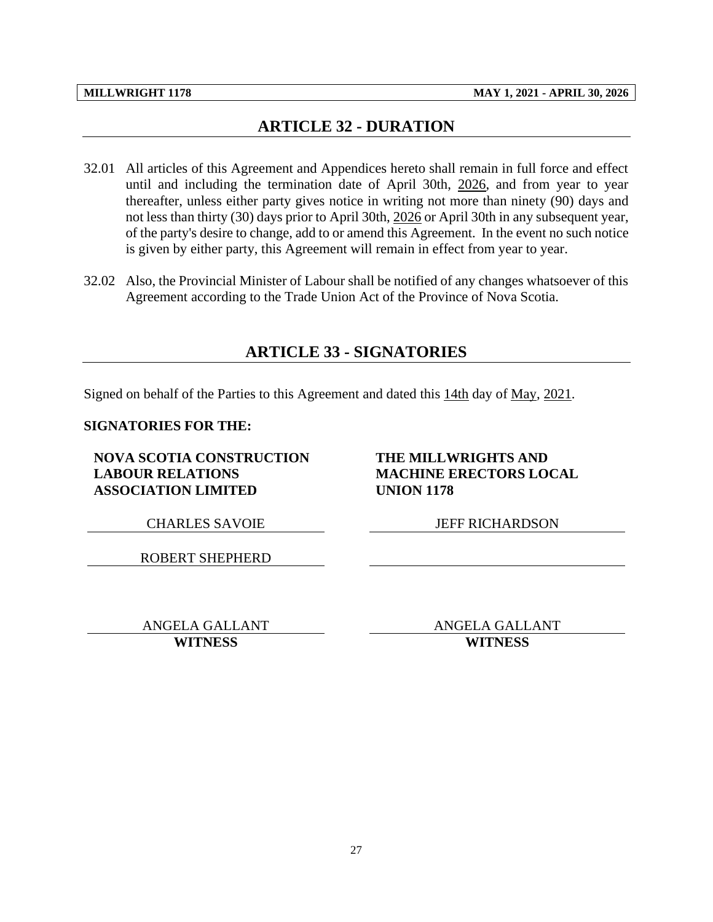# **ARTICLE 32 - DURATION**

- <span id="page-29-0"></span>32.01 All articles of this Agreement and Appendices hereto shall remain in full force and effect until and including the termination date of April 30th, 2026, and from year to year thereafter, unless either party gives notice in writing not more than ninety (90) days and not less than thirty (30) days prior to April 30th, 2026 or April 30th in any subsequent year, of the party's desire to change, add to or amend this Agreement. In the event no such notice is given by either party, this Agreement will remain in effect from year to year.
- <span id="page-29-1"></span>32.02 Also, the Provincial Minister of Labour shall be notified of any changes whatsoever of this Agreement according to the Trade Union Act of the Province of Nova Scotia.

# **ARTICLE 33 - SIGNATORIES**

Signed on behalf of the Parties to this Agreement and dated this 14th day of May, 2021.

#### **SIGNATORIES FOR THE:**

**NOVA SCOTIA CONSTRUCTION LABOUR RELATIONS ASSOCIATION LIMITED**

### **THE MILLWRIGHTS AND MACHINE ERECTORS LOCAL UNION 1178**

CHARLES SAVOIE JEFF RICHARDSON

ROBERT SHEPHERD

ANGELA GALLANT ANGELA GALLANT **WITNESS WITNESS**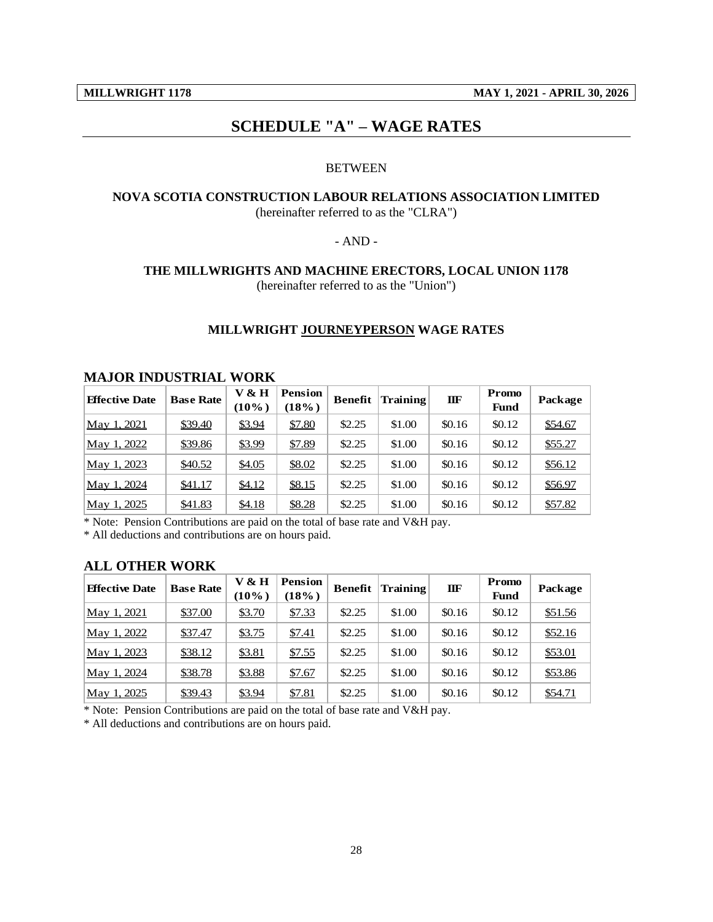<span id="page-30-0"></span>

# **SCHEDULE "A" – WAGE RATES**

#### BETWEEN

#### **NOVA SCOTIA CONSTRUCTION LABOUR RELATIONS ASSOCIATION LIMITED** (hereinafter referred to as the "CLRA")

#### - AND -

# **THE MILLWRIGHTS AND MACHINE ERECTORS, LOCAL UNION 1178**

(hereinafter referred to as the "Union")

#### **MILLWRIGHT JOURNEYPERSON WAGE RATES**

#### **MAJOR INDUSTRIAL WORK**

| <b>Effective Date</b> | <b>Base Rate</b> | V & H<br>$(10\%)$ | <b>Pension</b><br>$(18\%)$ | <b>Benefit</b> | Training | IIF    | Promo<br><b>Fund</b> | Package |
|-----------------------|------------------|-------------------|----------------------------|----------------|----------|--------|----------------------|---------|
| May 1, 2021           | \$39.40          | \$3.94            | \$7.80                     | \$2.25         | \$1.00   | \$0.16 | \$0.12               | \$54.67 |
| May 1, 2022           | \$39.86          | \$3.99            | \$7.89                     | \$2.25         | \$1.00   | \$0.16 | \$0.12               | \$55.27 |
| May 1, 2023           | \$40.52          | \$4.05            | \$8.02                     | \$2.25         | \$1.00   | \$0.16 | \$0.12               | \$56.12 |
| May 1, 2024           | \$41.17          | \$4.12            | \$8.15                     | \$2.25         | \$1.00   | \$0.16 | \$0.12               | \$56.97 |
| May 1, 2025           | \$41.83          | \$4.18            | \$8.28                     | \$2.25         | \$1.00   | \$0.16 | \$0.12               | \$57.82 |

\* Note: Pension Contributions are paid on the total of base rate and V&H pay.

\* All deductions and contributions are on hours paid.

#### **ALL OTHER WORK**

| <b>Effective Date</b> | <b>Base Rate</b> | V & H<br>$(10\%)$ | <b>Pension</b><br>(18%) | <b>Benefit</b> | <b>Training</b> | IIF    | <b>Promo</b><br><b>Fund</b> | Package |
|-----------------------|------------------|-------------------|-------------------------|----------------|-----------------|--------|-----------------------------|---------|
| May 1, 2021           | \$37.00          | \$3.70            | \$7.33                  | \$2.25         | \$1.00          | \$0.16 | \$0.12                      | \$51.56 |
| May 1, 2022           | \$37.47          | \$3.75            | \$7.41                  | \$2.25         | \$1.00          | \$0.16 | \$0.12                      | \$52.16 |
| May 1, 2023           | \$38.12          | \$3.81            | \$7.55                  | \$2.25         | \$1.00          | \$0.16 | \$0.12                      | \$53.01 |
| May 1, 2024           | \$38.78          | \$3.88            | \$7.67                  | \$2.25         | \$1.00          | \$0.16 | \$0.12                      | \$53.86 |
| May 1, 2025           | \$39.43          | \$3.94            | \$7.81                  | \$2.25         | \$1.00          | \$0.16 | \$0.12                      | \$54.71 |

\* Note: Pension Contributions are paid on the total of base rate and V&H pay.

\* All deductions and contributions are on hours paid.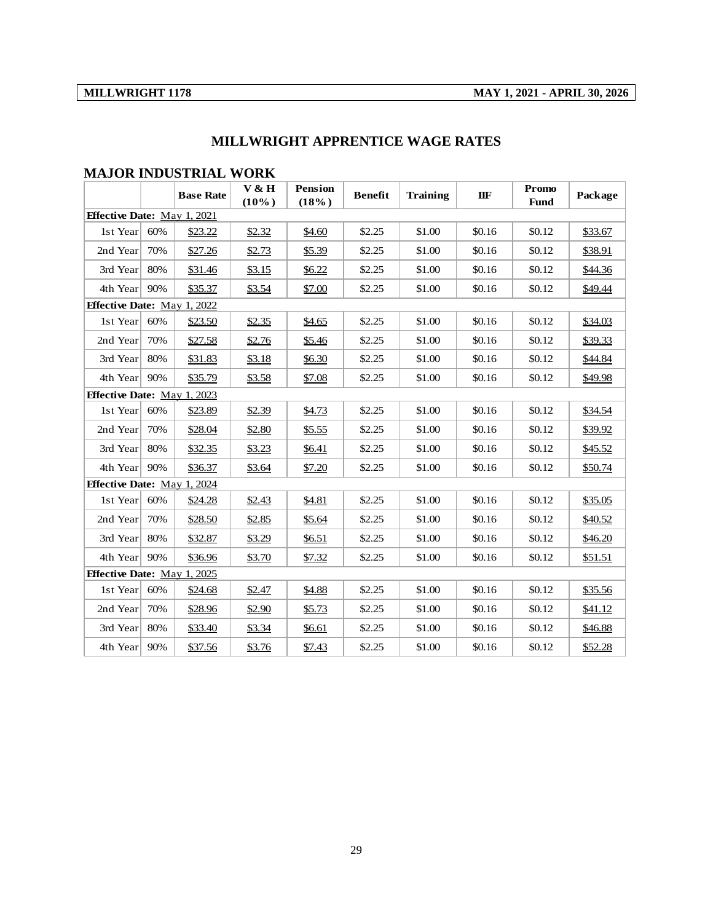|                                    |     | <b>Base Rate</b> | V & H<br>$(10\%)$ | <b>Pension</b><br>(18%) | <b>Benefit</b> | <b>Training</b> | IIF    | Promo<br><b>Fund</b> | Package |
|------------------------------------|-----|------------------|-------------------|-------------------------|----------------|-----------------|--------|----------------------|---------|
| <b>Effective Date:</b> May 1, 2021 |     |                  |                   |                         |                |                 |        |                      |         |
| 1st Year                           | 60% | \$23.22          | \$2.32            | \$4.60                  | \$2.25         | \$1.00          | \$0.16 | \$0.12               | \$33.67 |
| 2nd Year                           | 70% | \$27.26          | \$2.73            | \$5.39                  | \$2.25         | \$1.00          | \$0.16 | \$0.12               | \$38.91 |
| 3rd Year                           | 80% | \$31.46          | \$3.15            | \$6.22                  | \$2.25         | \$1.00          | \$0.16 | \$0.12               | \$44.36 |
| 4th Year                           | 90% | \$35.37          | \$3.54            | \$7.00                  | \$2.25         | \$1.00          | \$0.16 | \$0.12               | \$49.44 |
| <b>Effective Date:</b> May 1, 2022 |     |                  |                   |                         |                |                 |        |                      |         |
| 1st Year                           | 60% | \$23.50          | \$2.35            | \$4.65                  | \$2.25         | \$1.00          | \$0.16 | \$0.12               | \$34.03 |
| 2nd Year                           | 70% | \$27.58          | \$2.76            | \$5.46                  | \$2.25         | \$1.00          | \$0.16 | \$0.12               | \$39.33 |
| 3rd Year                           | 80% | \$31.83          | \$3.18            | \$6.30                  | \$2.25         | \$1.00          | \$0.16 | \$0.12               | \$44.84 |
| 4th Year                           | 90% | \$35.79          | \$3.58            | \$7.08                  | \$2.25         | \$1.00          | \$0.16 | \$0.12               | \$49.98 |
| <b>Effective Date:</b> May 1, 2023 |     |                  |                   |                         |                |                 |        |                      |         |
| 1st Year                           | 60% | \$23.89          | \$2.39            | \$4.73                  | \$2.25         | \$1.00          | \$0.16 | \$0.12               | \$34.54 |
| 2nd Year                           | 70% | \$28.04          | \$2.80            | \$5.55                  | \$2.25         | \$1.00          | \$0.16 | \$0.12               | \$39.92 |
| 3rd Year                           | 80% | \$32.35          | \$3.23            | \$6.41                  | \$2.25         | \$1.00          | \$0.16 | \$0.12               | \$45.52 |
| 4th Year                           | 90% | \$36.37          | \$3.64            | \$7.20                  | \$2.25         | \$1.00          | \$0.16 | \$0.12               | \$50.74 |
| <b>Effective Date:</b> May 1, 2024 |     |                  |                   |                         |                |                 |        |                      |         |
| 1st Year                           | 60% | \$24.28          | \$2.43            | \$4.81                  | \$2.25         | \$1.00          | \$0.16 | \$0.12               | \$35.05 |
| 2nd Year                           | 70% | \$28.50          | \$2.85            | \$5.64                  | \$2.25         | \$1.00          | \$0.16 | \$0.12               | \$40.52 |
| 3rd Year                           | 80% | \$32.87          | \$3.29            | \$6.51                  | \$2.25         | \$1.00          | \$0.16 | \$0.12               | \$46.20 |
| 4th Year                           | 90% | \$36.96          | \$3.70            | \$7.32                  | \$2.25         | \$1.00          | \$0.16 | \$0.12               | \$51.51 |
| <b>Effective Date:</b> May 1, 2025 |     |                  |                   |                         |                |                 |        |                      |         |
| 1st Year                           | 60% | \$24.68          | \$2.47            | \$4.88                  | \$2.25         | \$1.00          | \$0.16 | \$0.12               | \$35.56 |
| 2nd Year                           | 70% | \$28.96          | \$2.90            | \$5.73                  | \$2.25         | \$1.00          | \$0.16 | \$0.12               | \$41.12 |
| 3rd Year                           | 80% | \$33.40          | \$3.34            | \$6.61                  | \$2.25         | \$1.00          | \$0.16 | \$0.12               | \$46.88 |
| 4th Year                           | 90% | \$37.56          | \$3.76            | \$7.43                  | \$2.25         | \$1.00          | \$0.16 | \$0.12               | \$52.28 |

# **MILLWRIGHT APPRENTICE WAGE RATES**

#### **MAJOR INDUSTRIAL WORK**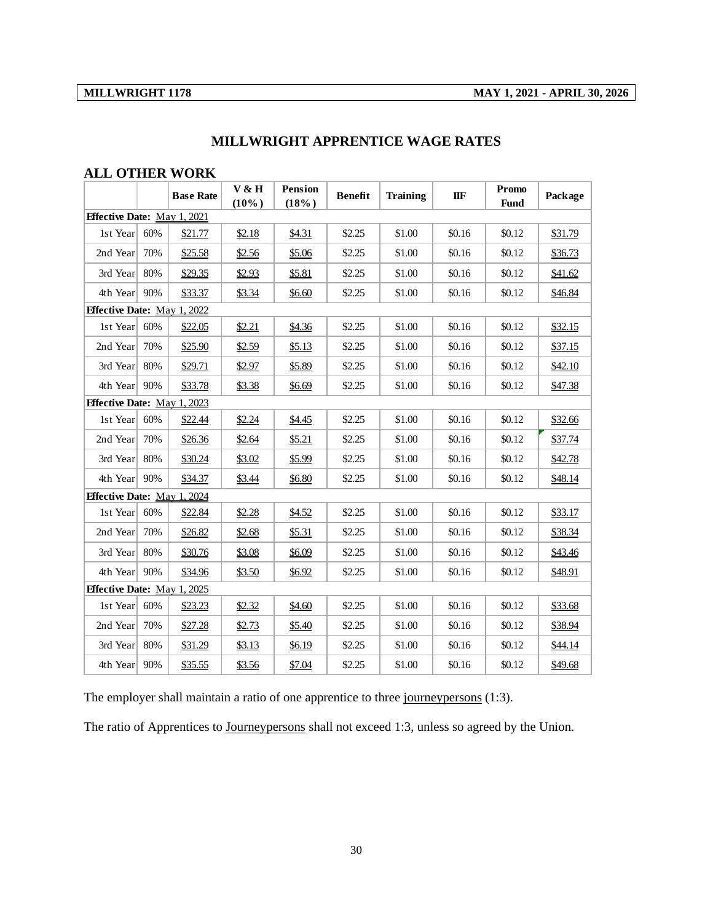# **MILLWRIGHT 1178 MAY 1, 2021 - APRIL 30, 2026**

|                                    |     | <b>Base Rate</b> | V & H<br>$(10\%)$ | <b>Pension</b><br>(18%) | <b>Benefit</b> | <b>Training</b> | IIF    | Promo<br><b>Fund</b> | Package |
|------------------------------------|-----|------------------|-------------------|-------------------------|----------------|-----------------|--------|----------------------|---------|
| <b>Effective Date: May 1, 2021</b> |     |                  |                   |                         |                |                 |        |                      |         |
| 1st Year                           | 60% | \$21.77          | \$2.18            | \$4.31                  | \$2.25         | \$1.00          | \$0.16 | \$0.12               | \$31.79 |
| 2nd Year                           | 70% | \$25.58          | \$2.56            | \$5.06                  | \$2.25         | \$1.00          | \$0.16 | \$0.12               | \$36.73 |
| 3rd Year                           | 80% | \$29.35          | \$2.93            | \$5.81                  | \$2.25         | \$1.00          | \$0.16 | \$0.12               | \$41.62 |
| 4th Year                           | 90% | \$33.37          | \$3.34            | \$6.60                  | \$2.25         | \$1.00          | \$0.16 | \$0.12               | \$46.84 |
| Effective Date: May 1, 2022        |     |                  |                   |                         |                |                 |        |                      |         |
| 1st Year                           | 60% | \$22.05          | \$2.21            | \$4.36                  | \$2.25         | \$1.00          | \$0.16 | \$0.12               | \$32.15 |
| 2nd Year                           | 70% | \$25.90          | \$2.59            | \$5.13                  | \$2.25         | \$1.00          | \$0.16 | \$0.12               | \$37.15 |
| 3rd Year                           | 80% | \$29.71          | \$2.97            | \$5.89                  | \$2.25         | \$1.00          | \$0.16 | \$0.12               | \$42.10 |
| 4th Year                           | 90% | \$33.78          | \$3.38            | \$6.69                  | \$2.25         | \$1.00          | \$0.16 | \$0.12               | \$47.38 |
| <b>Effective Date:</b> May 1, 2023 |     |                  |                   |                         |                |                 |        |                      |         |
| 1st Year                           | 60% | \$22.44          | \$2.24            | \$4.45                  | \$2.25         | \$1.00          | \$0.16 | \$0.12               | \$32.66 |
| 2nd Year                           | 70% | \$26.36          | \$2.64            | \$5.21                  | \$2.25         | \$1.00          | \$0.16 | \$0.12               | \$37.74 |
| 3rd Year                           | 80% | \$30.24          | \$3.02            | \$5.99                  | \$2.25         | \$1.00          | \$0.16 | \$0.12               | \$42.78 |
| 4th Year                           | 90% | \$34.37          | \$3.44            | \$6.80                  | \$2.25         | \$1.00          | \$0.16 | \$0.12               | \$48.14 |
| <b>Effective Date:</b> May 1, 2024 |     |                  |                   |                         |                |                 |        |                      |         |
| 1st Year                           | 60% | \$22.84          | \$2.28            | \$4.52                  | \$2.25         | \$1.00          | \$0.16 | \$0.12               | \$33.17 |
| 2nd Year                           | 70% | \$26.82          | \$2.68            | \$5.31                  | \$2.25         | \$1.00          | \$0.16 | \$0.12               | \$38.34 |
| 3rd Year                           | 80% | \$30.76          | \$3.08            | \$6.09                  | \$2.25         | \$1.00          | \$0.16 | \$0.12               | \$43.46 |
| 4th Year                           | 90% | \$34.96          | \$3.50            | \$6.92                  | \$2.25         | \$1.00          | \$0.16 | \$0.12               | \$48.91 |
| <b>Effective Date:</b> May 1, 2025 |     |                  |                   |                         |                |                 |        |                      |         |
| 1st Year                           | 60% | \$23.23          | \$2.32            | \$4.60                  | \$2.25         | \$1.00          | \$0.16 | \$0.12               | \$33.68 |
| 2nd Year                           | 70% | \$27.28          | \$2.73            | \$5.40                  | \$2.25         | \$1.00          | \$0.16 | \$0.12               | \$38.94 |
| 3rd Year                           | 80% | \$31.29          | \$3.13            | \$6.19                  | \$2.25         | \$1.00          | \$0.16 | \$0.12               | \$44.14 |
| 4th Year                           | 90% | \$35.55          | \$3.56            | \$7.04                  | \$2.25         | \$1.00          | \$0.16 | \$0.12               | \$49.68 |

# **MILLWRIGHT APPRENTICE WAGE RATES**

The employer shall maintain a ratio of one apprentice to three journeypersons (1:3).

The ratio of Apprentices to Journeypersons shall not exceed 1:3, unless so agreed by the Union.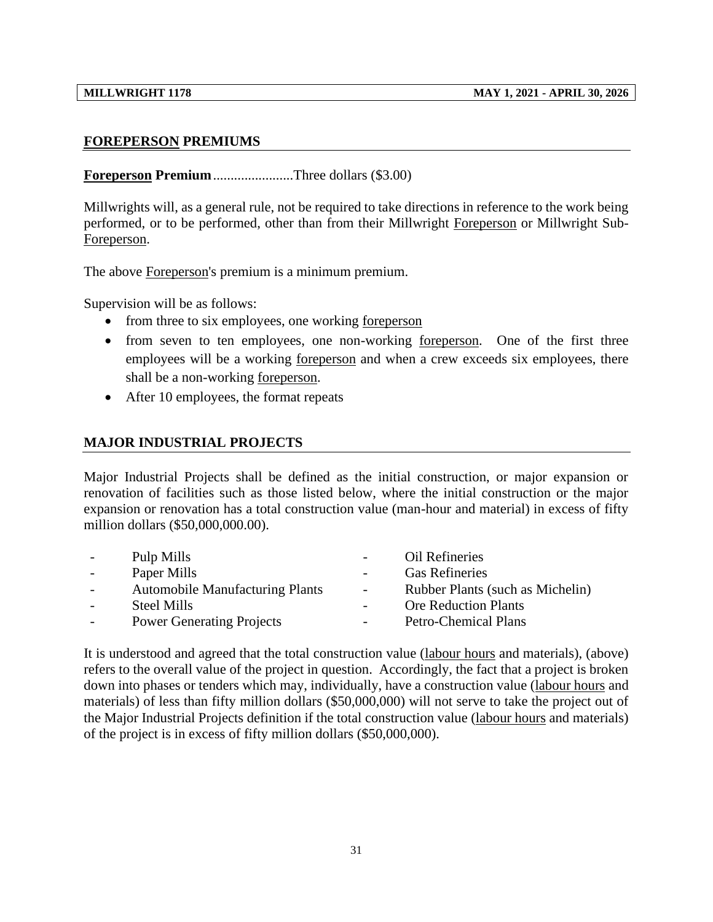### **FOREPERSON PREMIUMS**

**Foreperson Premium**.......................Three dollars (\$3.00)

Millwrights will, as a general rule, not be required to take directions in reference to the work being performed, or to be performed, other than from their Millwright Foreperson or Millwright Sub-Foreperson.

The above Foreperson's premium is a minimum premium.

Supervision will be as follows:

- from three to six employees, one working foreperson
- from seven to ten employees, one non-working foreperson. One of the first three employees will be a working foreperson and when a crew exceeds six employees, there shall be a non-working foreperson.
- After 10 employees, the format repeats

### **MAJOR INDUSTRIAL PROJECTS**

Major Industrial Projects shall be defined as the initial construction, or major expansion or renovation of facilities such as those listed below, where the initial construction or the major expansion or renovation has a total construction value (man-hour and material) in excess of fifty million dollars (\$50,000,000.00).

| $\sim$                   | Pulp Mills                             | $\sim$                   | Oil Refineries                   |
|--------------------------|----------------------------------------|--------------------------|----------------------------------|
| $\overline{a}$           | Paper Mills                            | $\overline{\phantom{a}}$ | <b>Gas Refineries</b>            |
| $\overline{\phantom{a}}$ | <b>Automobile Manufacturing Plants</b> | $\overline{\phantom{a}}$ | Rubber Plants (such as Michelin) |
| $\overline{\phantom{a}}$ | Steel Mills                            | -                        | <b>Ore Reduction Plants</b>      |
|                          | <b>Power Generating Projects</b>       | $\overline{\phantom{a}}$ | <b>Petro-Chemical Plans</b>      |
|                          |                                        |                          |                                  |

It is understood and agreed that the total construction value (labour hours and materials), (above) refers to the overall value of the project in question. Accordingly, the fact that a project is broken down into phases or tenders which may, individually, have a construction value (labour hours and materials) of less than fifty million dollars (\$50,000,000) will not serve to take the project out of the Major Industrial Projects definition if the total construction value (labour hours and materials) of the project is in excess of fifty million dollars (\$50,000,000).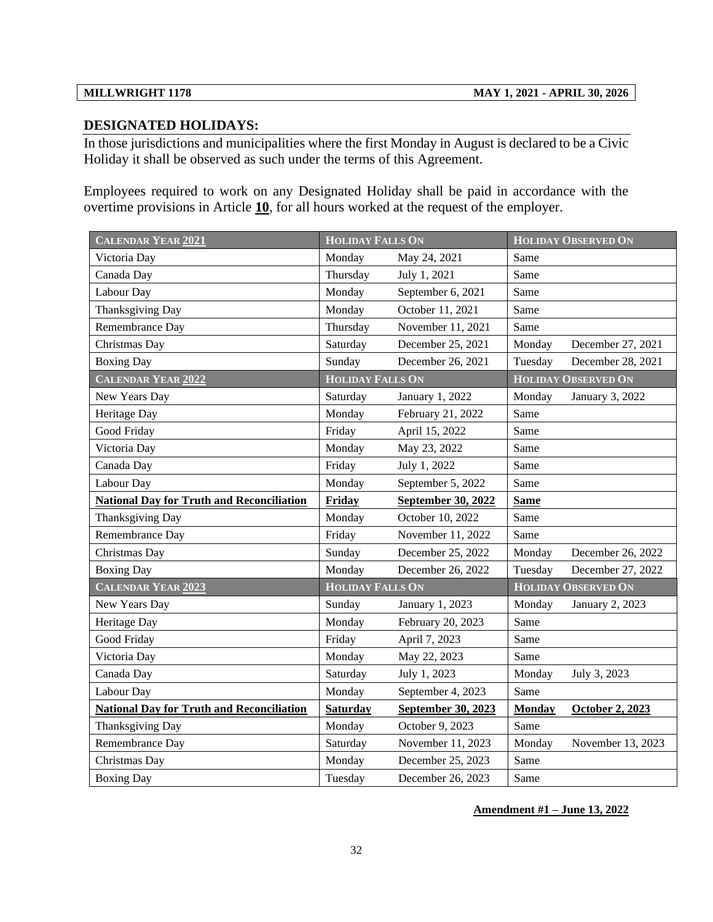#### **DESIGNATED HOLIDAYS:**

In those jurisdictions and municipalities where the first Monday in August is declared to be a Civic Holiday it shall be observed as such under the terms of this Agreement.

Employees required to work on any Designated Holiday shall be paid in accordance with the overtime provisions in Article **10**, for all hours worked at the request of the employer.

| <b>CALENDAR YEAR 2021</b>                        | <b>HOLIDAY FALLS ON</b> |                    | <b>HOLIDAY OBSERVED ON</b> |                            |
|--------------------------------------------------|-------------------------|--------------------|----------------------------|----------------------------|
| Victoria Day                                     | Monday                  | May 24, 2021       | Same                       |                            |
| Canada Day                                       | Thursday                | July 1, 2021       | Same                       |                            |
| Labour Day                                       | Monday                  | September 6, 2021  | Same                       |                            |
| Thanksgiving Day                                 | Monday                  | October 11, 2021   | Same                       |                            |
| Remembrance Day                                  | Thursday                | November 11, 2021  | Same                       |                            |
| Christmas Day                                    | Saturday                | December 25, 2021  | Monday                     | December 27, 2021          |
| <b>Boxing Day</b>                                | Sunday                  | December 26, 2021  | Tuesday                    | December 28, 2021          |
| <b>CALENDAR YEAR 2022</b>                        | <b>HOLIDAY FALLS ON</b> |                    |                            | <b>HOLIDAY OBSERVED ON</b> |
| New Years Day                                    | Saturday                | January 1, 2022    | Monday                     | January 3, 2022            |
| Heritage Day                                     | Monday                  | February 21, 2022  | Same                       |                            |
| Good Friday                                      | Friday                  | April 15, 2022     | Same                       |                            |
| Victoria Day                                     | Monday                  | May 23, 2022       | Same                       |                            |
| Canada Day                                       | Friday                  | July 1, 2022       | Same                       |                            |
| Labour Day                                       | Monday                  | September 5, 2022  | Same                       |                            |
| <b>National Day for Truth and Reconciliation</b> | Friday                  | September 30, 2022 | <b>Same</b>                |                            |
| Thanksgiving Day                                 | Monday                  | October 10, 2022   | Same                       |                            |
| Remembrance Day                                  | Friday                  | November 11, 2022  | Same                       |                            |
| Christmas Day                                    | Sunday                  | December 25, 2022  | Monday                     | December 26, 2022          |
| <b>Boxing Day</b>                                | Monday                  | December 26, 2022  | Tuesday                    | December 27, 2022          |
| <b>CALENDAR YEAR 2023</b>                        | <b>HOLIDAY FALLS ON</b> |                    |                            | <b>HOLIDAY OBSERVED ON</b> |
| New Years Day                                    | Sunday                  | January 1, 2023    | Monday                     | January 2, 2023            |
| Heritage Day                                     | Monday                  | February 20, 2023  | Same                       |                            |
| Good Friday                                      | Friday                  | April 7, 2023      | Same                       |                            |
| Victoria Day                                     | Monday                  | May 22, 2023       | Same                       |                            |
| Canada Day                                       | Saturday                | July 1, 2023       | Monday                     | July 3, 2023               |
| Labour Day                                       | Monday                  | September 4, 2023  | Same                       |                            |
| <b>National Day for Truth and Reconciliation</b> | <b>Saturday</b>         | September 30, 2023 | Monday                     | October 2, 2023            |
| Thanksgiving Day                                 | Monday                  | October 9, 2023    | Same                       |                            |
| Remembrance Day                                  | Saturday                | November 11, 2023  | Monday                     | November 13, 2023          |
| Christmas Day                                    | Monday                  | December 25, 2023  | Same                       |                            |
| <b>Boxing Day</b>                                | Tuesday                 | December 26, 2023  | Same                       |                            |

**Amendment #1 – June 13, 2022**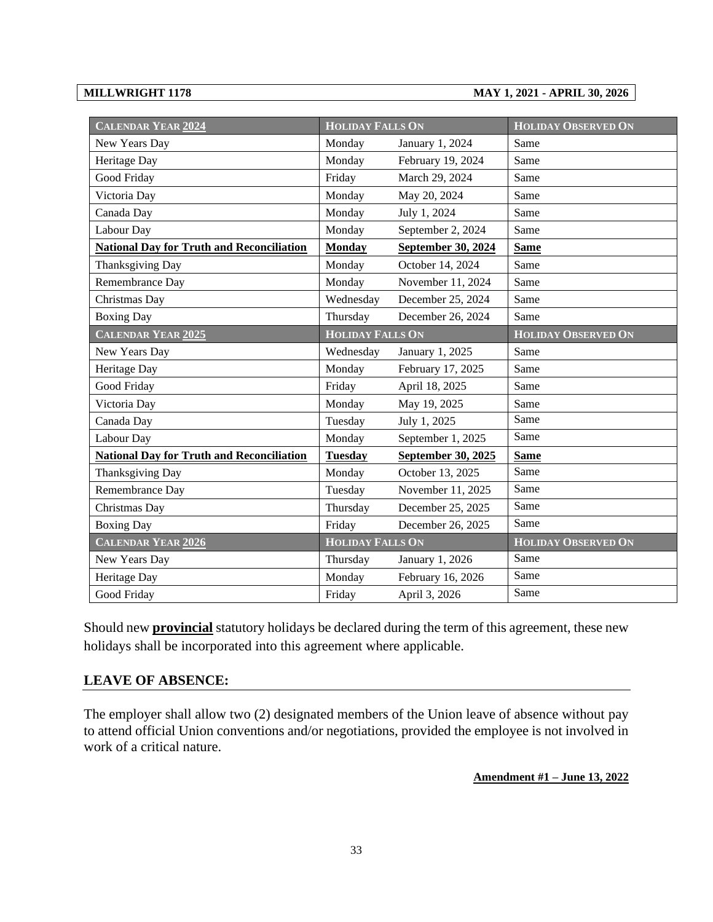#### **MILLWRIGHT 1178 MAY 1, 2021 - APRIL 30, 2026**

| <b>CALENDAR YEAR 2024</b>                        | <b>HOLIDAY FALLS ON</b> |                           | <b>HOLIDAY OBSERVED ON</b> |  |
|--------------------------------------------------|-------------------------|---------------------------|----------------------------|--|
| New Years Day                                    | Monday                  | January 1, 2024           | Same                       |  |
| Heritage Day                                     | Monday                  | February 19, 2024         | Same                       |  |
| Good Friday                                      | Friday                  | March 29, 2024            | Same                       |  |
| Victoria Day                                     | Monday                  | May 20, 2024              | Same                       |  |
| Canada Day                                       | Monday                  | July 1, 2024              | Same                       |  |
| Labour Day                                       | Monday                  | September 2, 2024         | Same                       |  |
| <b>National Day for Truth and Reconciliation</b> | <b>Monday</b>           | <b>September 30, 2024</b> | <b>Same</b>                |  |
| Thanksgiving Day                                 | Monday                  | October 14, 2024          | Same                       |  |
| Remembrance Day                                  | Monday                  | November 11, 2024         | Same                       |  |
| Christmas Day                                    | Wednesday               | December 25, 2024         | Same                       |  |
| <b>Boxing Day</b>                                | Thursday                | December 26, 2024         | Same                       |  |
| <b>CALENDAR YEAR 2025</b>                        | <b>HOLIDAY FALLS ON</b> |                           | <b>HOLIDAY OBSERVED ON</b> |  |
| New Years Day                                    | Wednesday               | January 1, 2025           | Same                       |  |
| Heritage Day                                     | Monday                  | February 17, 2025         | Same                       |  |
| Good Friday                                      | Friday                  | April 18, 2025            | Same                       |  |
| Victoria Day                                     | Monday                  | May 19, 2025              | Same                       |  |
| Canada Day                                       | Tuesday                 | July 1, 2025              | Same                       |  |
| Labour Day                                       | Monday                  | September 1, 2025         | Same                       |  |
| <b>National Day for Truth and Reconciliation</b> | <b>Tuesday</b>          | September 30, 2025        | <b>Same</b>                |  |
| Thanksgiving Day                                 | Monday                  | October 13, 2025          | Same                       |  |
| Remembrance Day                                  | Tuesday                 | November 11, 2025         | Same                       |  |
| Christmas Day                                    | Thursday                | December 25, 2025         | Same                       |  |
| <b>Boxing Day</b>                                | Friday                  | December 26, 2025         | Same                       |  |
| CALENDAR YEAR 2026                               | <b>HOLIDAY FALLS ON</b> |                           | <b>HOLIDAY OBSERVED ON</b> |  |
| New Years Day                                    | Thursday                | January 1, 2026           | Same                       |  |
| Heritage Day                                     | Monday                  | February 16, 2026         | Same                       |  |
| Good Friday                                      | Friday                  | April 3, 2026             | Same                       |  |

Should new **provincial** statutory holidays be declared during the term of this agreement, these new holidays shall be incorporated into this agreement where applicable.

#### **LEAVE OF ABSENCE:**

The employer shall allow two (2) designated members of the Union leave of absence without pay to attend official Union conventions and/or negotiations, provided the employee is not involved in work of a critical nature.

**Amendment #1 – June 13, 2022**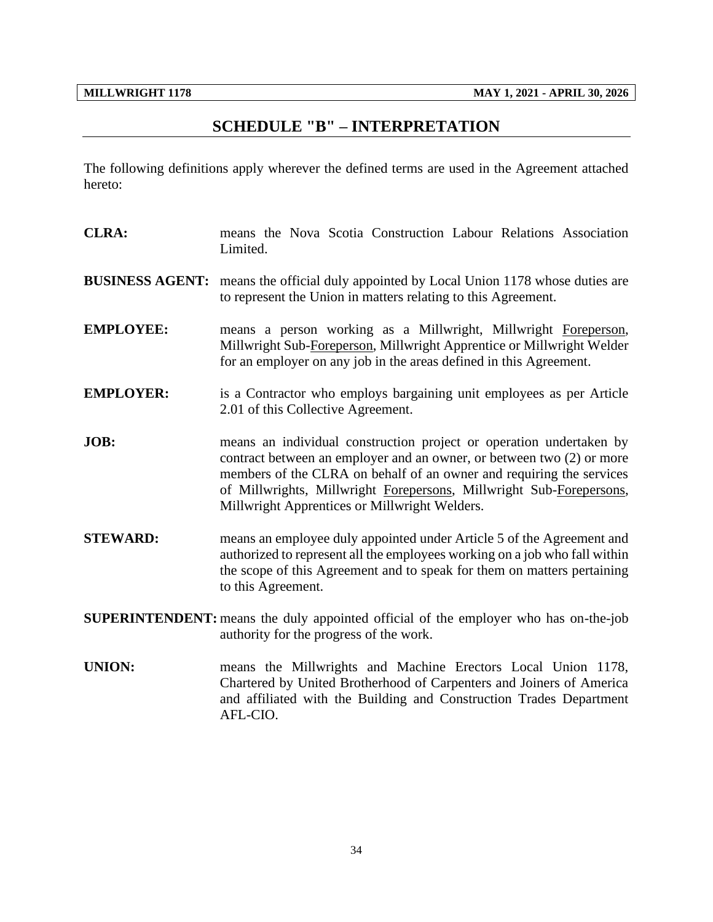# **SCHEDULE "B" – INTERPRETATION**

<span id="page-36-0"></span>The following definitions apply wherever the defined terms are used in the Agreement attached hereto:

| <b>CLRA:</b>                                                                                                                   | means the Nova Scotia Construction Labour Relations Association<br>Limited.                                                                                                                                                                                                                                                                  |  |  |  |  |  |  |
|--------------------------------------------------------------------------------------------------------------------------------|----------------------------------------------------------------------------------------------------------------------------------------------------------------------------------------------------------------------------------------------------------------------------------------------------------------------------------------------|--|--|--|--|--|--|
|                                                                                                                                | <b>BUSINESS AGENT:</b> means the official duly appointed by Local Union 1178 whose duties are<br>to represent the Union in matters relating to this Agreement.                                                                                                                                                                               |  |  |  |  |  |  |
| <b>EMPLOYEE:</b>                                                                                                               | means a person working as a Millwright, Millwright Foreperson,<br>Millwright Sub-Foreperson, Millwright Apprentice or Millwright Welder<br>for an employer on any job in the areas defined in this Agreement.                                                                                                                                |  |  |  |  |  |  |
| <b>EMPLOYER:</b><br>is a Contractor who employs bargaining unit employees as per Article<br>2.01 of this Collective Agreement. |                                                                                                                                                                                                                                                                                                                                              |  |  |  |  |  |  |
| JOB:                                                                                                                           | means an individual construction project or operation undertaken by<br>contract between an employer and an owner, or between two (2) or more<br>members of the CLRA on behalf of an owner and requiring the services<br>of Millwrights, Millwright Forepersons, Millwright Sub-Forepersons,<br>Millwright Apprentices or Millwright Welders. |  |  |  |  |  |  |
| <b>STEWARD:</b>                                                                                                                | means an employee duly appointed under Article 5 of the Agreement and<br>authorized to represent all the employees working on a job who fall within<br>the scope of this Agreement and to speak for them on matters pertaining<br>to this Agreement.                                                                                         |  |  |  |  |  |  |
|                                                                                                                                | SUPERINTENDENT: means the duly appointed official of the employer who has on-the-job<br>authority for the progress of the work.                                                                                                                                                                                                              |  |  |  |  |  |  |
| <b>UNION:</b>                                                                                                                  | means the Millwrights and Machine Erectors Local Union 1178,<br>Chartered by United Brotherhood of Carpenters and Joiners of America<br>and affiliated with the Building and Construction Trades Department<br>AFL-CIO.                                                                                                                      |  |  |  |  |  |  |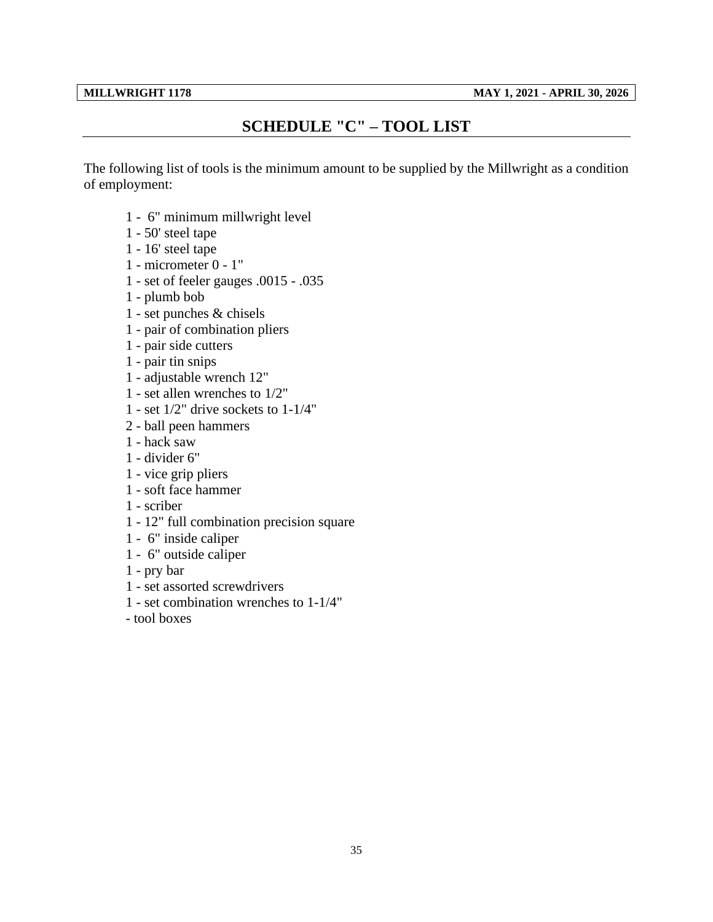# **SCHEDULE "C" – TOOL LIST**

<span id="page-37-0"></span>The following list of tools is the minimum amount to be supplied by the Millwright as a condition of employment:

- 1 6" minimum millwright level
- 1 50' steel tape
- 1 16' steel tape
- 1 micrometer 0 1"
- 1 set of feeler gauges .0015 .035
- 1 plumb bob
- 1 set punches & chisels
- 1 pair of combination pliers
- 1 pair side cutters
- 1 pair tin snips
- 1 adjustable wrench 12"
- 1 set allen wrenches to 1/2"
- 1 set  $1/2$ " drive sockets to  $1-1/4$ "
- 2 ball peen hammers
- 1 hack saw
- 1 divider 6"
- 1 vice grip pliers
- 1 soft face hammer
- 1 scriber
- 1 12" full combination precision square
- 1 6" inside caliper
- 1 6" outside caliper
- 1 pry bar
- 1 set assorted screwdrivers
- 1 set combination wrenches to 1-1/4"
- tool boxes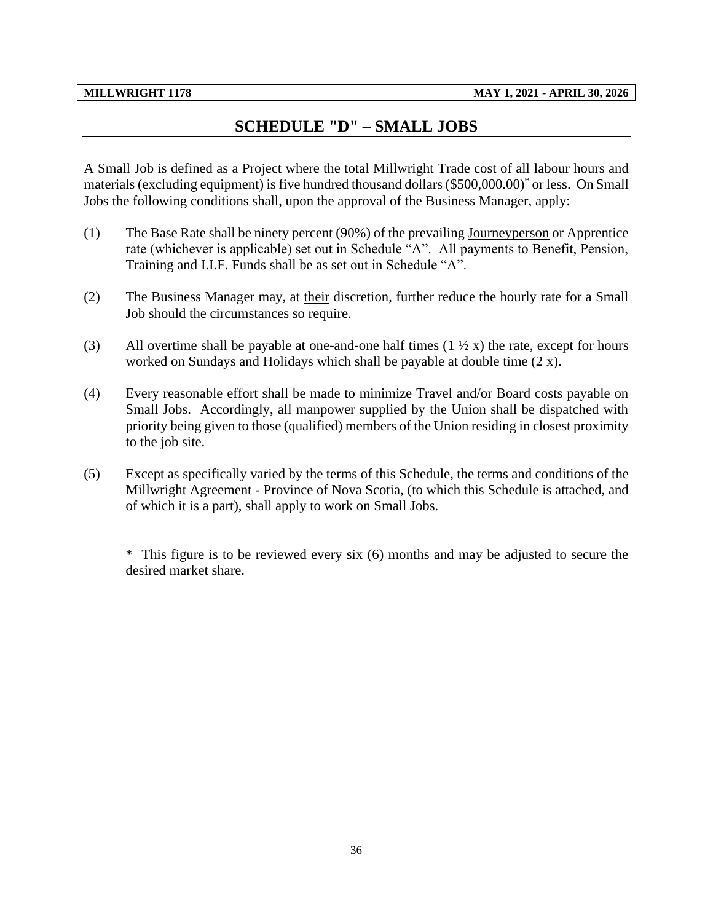# **SCHEDULE "D" – SMALL JOBS**

<span id="page-38-0"></span>A Small Job is defined as a Project where the total Millwright Trade cost of all labour hours and materials (excluding equipment) is five hundred thousand dollars (\$500,000.00)\* or less. On Small Jobs the following conditions shall, upon the approval of the Business Manager, apply:

- (1) The Base Rate shall be ninety percent (90%) of the prevailing Journeyperson or Apprentice rate (whichever is applicable) set out in Schedule "A". All payments to Benefit, Pension, Training and I.I.F. Funds shall be as set out in Schedule "A".
- (2) The Business Manager may, at their discretion, further reduce the hourly rate for a Small Job should the circumstances so require.
- (3) All overtime shall be payable at one-and-one half times  $(1 \frac{1}{2} x)$  the rate, except for hours worked on Sundays and Holidays which shall be payable at double time  $(2 x)$ .
- (4) Every reasonable effort shall be made to minimize Travel and/or Board costs payable on Small Jobs. Accordingly, all manpower supplied by the Union shall be dispatched with priority being given to those (qualified) members of the Union residing in closest proximity to the job site.
- (5) Except as specifically varied by the terms of this Schedule, the terms and conditions of the Millwright Agreement - Province of Nova Scotia, (to which this Schedule is attached, and of which it is a part), shall apply to work on Small Jobs.

\* This figure is to be reviewed every six (6) months and may be adjusted to secure the desired market share.